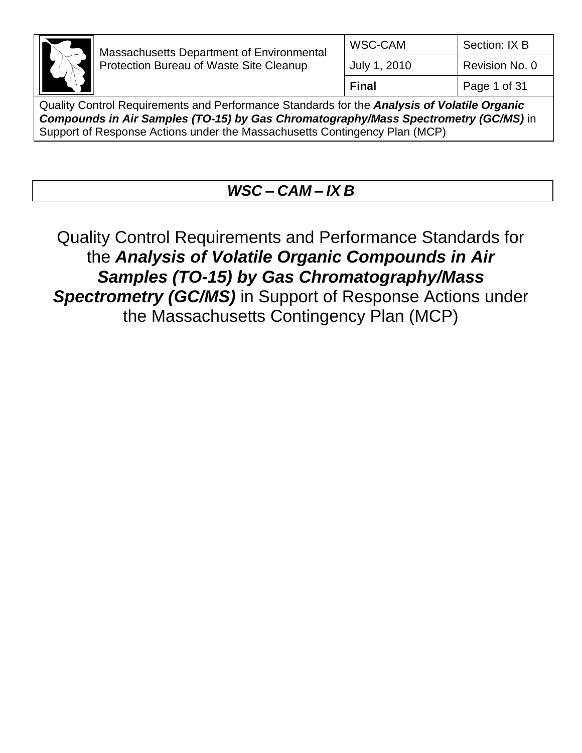

| WSC-CAM      | Section: IX B  |
|--------------|----------------|
| July 1, 2010 | Revision No. 0 |
| <b>Final</b> | Page 1 of 31   |

Quality Control Requirements and Performance Standards for the *Analysis of Volatile Organic Compounds in Air Samples (TO-15) by Gas Chromatography/Mass Spectrometry (GC/MS)* in Support of Response Actions under the Massachusetts Contingency Plan (MCP)

# *WSC – CAM – IX B*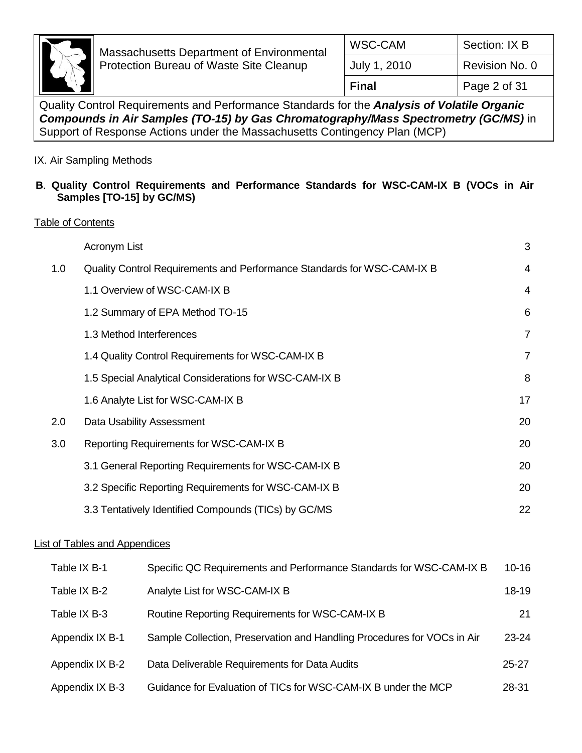

## IX. Air Sampling Methods

#### **B**. **Quality Control Requirements and Performance Standards for WSC-CAM-IX B (VOCs in Air Samples [TO-15] by GC/MS)**

#### Table of Contents

|     | Acronym List                                                            | 3              |
|-----|-------------------------------------------------------------------------|----------------|
| 1.0 | Quality Control Requirements and Performance Standards for WSC-CAM-IX B | 4              |
|     | 1.1 Overview of WSC-CAM-IX B                                            | 4              |
|     | 1.2 Summary of EPA Method TO-15                                         | 6              |
|     | 1.3 Method Interferences                                                | $\overline{7}$ |
|     | 1.4 Quality Control Requirements for WSC-CAM-IX B                       | $\overline{7}$ |
|     | 1.5 Special Analytical Considerations for WSC-CAM-IX B                  | 8              |
|     | 1.6 Analyte List for WSC-CAM-IX B                                       | 17             |
| 2.0 | Data Usability Assessment                                               | 20             |
| 3.0 | Reporting Requirements for WSC-CAM-IX B                                 | 20             |
|     | 3.1 General Reporting Requirements for WSC-CAM-IX B                     | 20             |
|     | 3.2 Specific Reporting Requirements for WSC-CAM-IX B                    | 20             |
|     | 3.3 Tentatively Identified Compounds (TICs) by GC/MS                    | 22             |

### List of Tables and Appendices

| Table IX B-1    | Specific QC Requirements and Performance Standards for WSC-CAM-IX B     | 10-16     |
|-----------------|-------------------------------------------------------------------------|-----------|
| Table IX B-2    | Analyte List for WSC-CAM-IX B                                           | $18 - 19$ |
| Table IX B-3    | Routine Reporting Requirements for WSC-CAM-IX B                         | 21        |
| Appendix IX B-1 | Sample Collection, Preservation and Handling Procedures for VOCs in Air | $23 - 24$ |
| Appendix IX B-2 | Data Deliverable Requirements for Data Audits                           | $25 - 27$ |
| Appendix IX B-3 | Guidance for Evaluation of TICs for WSC-CAM-IX B under the MCP          | 28-31     |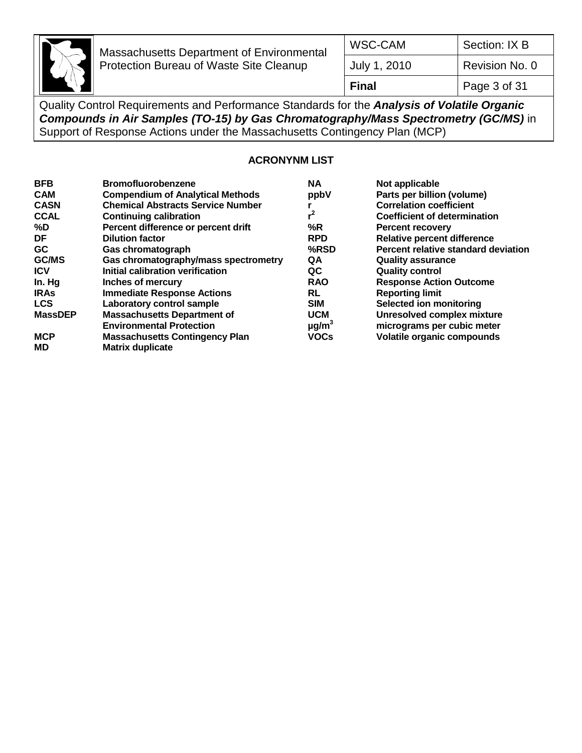

| Page 3 of 31<br><b>Final</b>   |  |
|--------------------------------|--|
| Revision No. 0<br>July 1, 2010 |  |
| Section: IX B<br>WSC-CAM       |  |

Quality Control Requirements and Performance Standards for the *Analysis of Volatile Organic Compounds in Air Samples (TO-15) by Gas Chromatography/Mass Spectrometry (GC/MS)* in Support of Response Actions under the Massachusetts Contingency Plan (MCP)

#### **ACRONYNM LIST**

| <b>BFB</b>     | <b>Bromofluorobenzene</b>                | <b>NA</b>              | Not applicable                      |
|----------------|------------------------------------------|------------------------|-------------------------------------|
| <b>CAM</b>     | <b>Compendium of Analytical Methods</b>  | ppbV                   | Parts per billion (volume)          |
| <b>CASN</b>    | <b>Chemical Abstracts Service Number</b> |                        | <b>Correlation coefficient</b>      |
| <b>CCAL</b>    | <b>Continuing calibration</b>            | $r^2$                  | <b>Coefficient of determination</b> |
| %D             | Percent difference or percent drift      | %R                     | <b>Percent recovery</b>             |
| DF             | <b>Dilution factor</b>                   | <b>RPD</b>             | <b>Relative percent difference</b>  |
| <b>GC</b>      | Gas chromatograph                        | %RSD                   | Percent relative standard deviation |
| GC/MS          | Gas chromatography/mass spectrometry     | QA                     | <b>Quality assurance</b>            |
| <b>ICV</b>     | Initial calibration verification         | QC                     | <b>Quality control</b>              |
| In. Hg         | Inches of mercury                        | <b>RAO</b>             | <b>Response Action Outcome</b>      |
| <b>IRAS</b>    | <b>Immediate Response Actions</b>        | RL                     | <b>Reporting limit</b>              |
| <b>LCS</b>     | Laboratory control sample                | <b>SIM</b>             | Selected ion monitoring             |
| <b>MassDEP</b> | <b>Massachusetts Department of</b>       | <b>UCM</b>             | <b>Unresolved complex mixture</b>   |
|                | <b>Environmental Protection</b>          | $\mu$ g/m <sup>3</sup> | micrograms per cubic meter          |
| <b>MCP</b>     | <b>Massachusetts Contingency Plan</b>    | <b>VOCs</b>            | <b>Volatile organic compounds</b>   |
| <b>MD</b>      | <b>Matrix duplicate</b>                  |                        |                                     |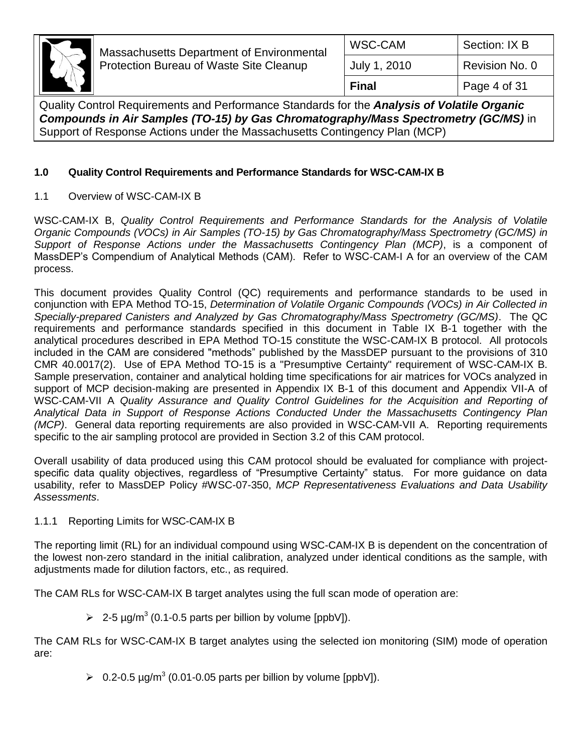

| WSC-CAM      | Section: IX B  |
|--------------|----------------|
| July 1, 2010 | Revision No. 0 |
| <b>Final</b> | Page 4 of 31   |

Quality Control Requirements and Performance Standards for the *Analysis of Volatile Organic Compounds in Air Samples (TO-15) by Gas Chromatography/Mass Spectrometry (GC/MS)* in Support of Response Actions under the Massachusetts Contingency Plan (MCP)

## **1.0 Quality Control Requirements and Performance Standards for WSC-CAM-IX B**

1.1 Overview of WSC-CAM-IX B

WSC-CAM-IX B, *Quality Control Requirements and Performance Standards for the Analysis of Volatile Organic Compounds (VOCs) in Air Samples (TO-15) by Gas Chromatography/Mass Spectrometry (GC/MS) in Support of Response Actions under the Massachusetts Contingency Plan (MCP)*, is a component of MassDEP's Compendium of Analytical Methods (CAM). Refer to WSC-CAM-I A for an overview of the CAM process.

This document provides Quality Control (QC) requirements and performance standards to be used in conjunction with EPA Method TO-15, *Determination of Volatile Organic Compounds (VOCs) in Air Collected in Specially-prepared Canisters and Analyzed by Gas Chromatography/Mass Spectrometry (GC/MS)*. The QC requirements and performance standards specified in this document in Table IX B-1 together with the analytical procedures described in EPA Method TO-15 constitute the WSC-CAM-IX B protocol. All protocols included in the CAM are considered "methods" published by the MassDEP pursuant to the provisions of 310 CMR 40.0017(2). Use of EPA Method TO-15 is a "Presumptive Certainty" requirement of WSC-CAM-IX B. Sample preservation, container and analytical holding time specifications for air matrices for VOCs analyzed in support of MCP decision-making are presented in Appendix IX B-1 of this document and Appendix VII-A of WSC-CAM-VII A *Quality Assurance and Quality Control Guidelines for the Acquisition and Reporting of Analytical Data in Support of Response Actions Conducted Under the Massachusetts Contingency Plan (MCP)*. General data reporting requirements are also provided in WSC-CAM-VII A. Reporting requirements specific to the air sampling protocol are provided in Section 3.2 of this CAM protocol.

Overall usability of data produced using this CAM protocol should be evaluated for compliance with projectspecific data quality objectives, regardless of "Presumptive Certainty" status. For more guidance on data usability, refer to MassDEP Policy #WSC-07-350, *MCP Representativeness Evaluations and Data Usability Assessments*.

## 1.1.1 Reporting Limits for WSC-CAM-IX B

The reporting limit (RL) for an individual compound using WSC-CAM-IX B is dependent on the concentration of the lowest non-zero standard in the initial calibration, analyzed under identical conditions as the sample, with adjustments made for dilution factors, etc., as required.

The CAM RLs for WSC-CAM-IX B target analytes using the full scan mode of operation are:

 $\geq 2$ -5 µg/m<sup>3</sup> (0.1-0.5 parts per billion by volume [ppbV]).

The CAM RLs for WSC-CAM-IX B target analytes using the selected ion monitoring (SIM) mode of operation are:

 $\geq 0.2$ -0.5 µg/m<sup>3</sup> (0.01-0.05 parts per billion by volume [ppbV]).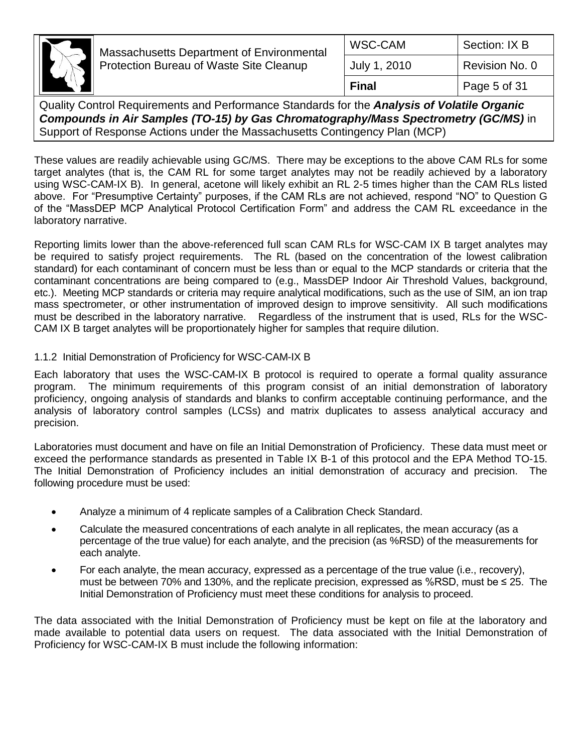

| <b>Final</b> | Page 5 of 31   |
|--------------|----------------|
| July 1, 2010 | Revision No. 0 |
| WSC-CAM      | Section: IX B  |
|              |                |

Quality Control Requirements and Performance Standards for the *Analysis of Volatile Organic Compounds in Air Samples (TO-15) by Gas Chromatography/Mass Spectrometry (GC/MS)* in Support of Response Actions under the Massachusetts Contingency Plan (MCP)

These values are readily achievable using GC/MS. There may be exceptions to the above CAM RLs for some target analytes (that is, the CAM RL for some target analytes may not be readily achieved by a laboratory using WSC-CAM-IX B). In general, acetone will likely exhibit an RL 2-5 times higher than the CAM RLs listed above. For "Presumptive Certainty" purposes, if the CAM RLs are not achieved, respond "NO" to Question G of the "MassDEP MCP Analytical Protocol Certification Form" and address the CAM RL exceedance in the laboratory narrative.

Reporting limits lower than the above-referenced full scan CAM RLs for WSC-CAM IX B target analytes may be required to satisfy project requirements. The RL (based on the concentration of the lowest calibration standard) for each contaminant of concern must be less than or equal to the MCP standards or criteria that the contaminant concentrations are being compared to (e.g., MassDEP Indoor Air Threshold Values, background, etc.). Meeting MCP standards or criteria may require analytical modifications, such as the use of SIM, an ion trap mass spectrometer, or other instrumentation of improved design to improve sensitivity. All such modifications must be described in the laboratory narrative. Regardless of the instrument that is used, RLs for the WSC-CAM IX B target analytes will be proportionately higher for samples that require dilution.

#### 1.1.2 Initial Demonstration of Proficiency for WSC-CAM-IX B

Each laboratory that uses the WSC-CAM-IX B protocol is required to operate a formal quality assurance program. The minimum requirements of this program consist of an initial demonstration of laboratory proficiency, ongoing analysis of standards and blanks to confirm acceptable continuing performance, and the analysis of laboratory control samples (LCSs) and matrix duplicates to assess analytical accuracy and precision.

Laboratories must document and have on file an Initial Demonstration of Proficiency. These data must meet or exceed the performance standards as presented in Table IX B-1 of this protocol and the EPA Method TO-15. The Initial Demonstration of Proficiency includes an initial demonstration of accuracy and precision. The following procedure must be used:

- Analyze a minimum of 4 replicate samples of a Calibration Check Standard.
- Calculate the measured concentrations of each analyte in all replicates, the mean accuracy (as a percentage of the true value) for each analyte, and the precision (as %RSD) of the measurements for each analyte.
- For each analyte, the mean accuracy, expressed as a percentage of the true value (i.e., recovery), must be between 70% and 130%, and the replicate precision, expressed as %RSD, must be ≤ 25. The Initial Demonstration of Proficiency must meet these conditions for analysis to proceed.

The data associated with the Initial Demonstration of Proficiency must be kept on file at the laboratory and made available to potential data users on request. The data associated with the Initial Demonstration of Proficiency for WSC-CAM-IX B must include the following information: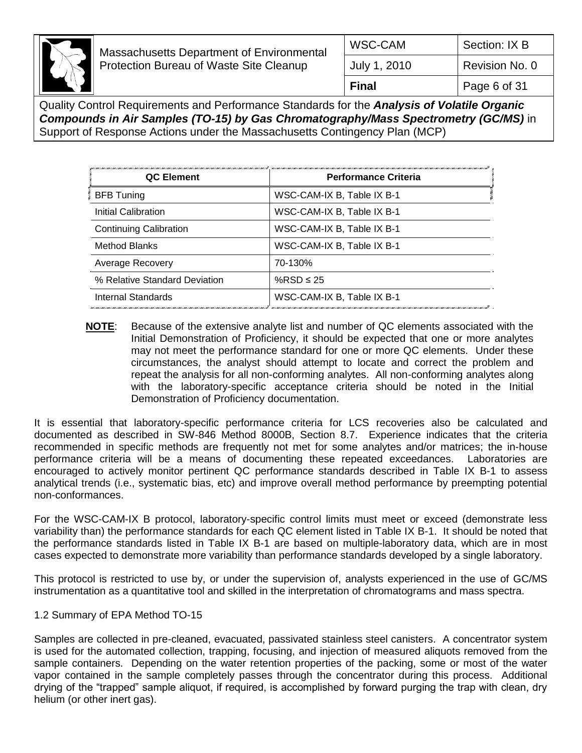

| WSC-CAM      | Section: IX B  |
|--------------|----------------|
| July 1, 2010 | Revision No. 0 |
| <b>Final</b> | Page 6 of 31   |

Quality Control Requirements and Performance Standards for the *Analysis of Volatile Organic Compounds in Air Samples (TO-15) by Gas Chromatography/Mass Spectrometry (GC/MS)* in Support of Response Actions under the Massachusetts Contingency Plan (MCP)

| QC Element                    | ווארגיות ואו במידע האורגיות באורגיות ביותר מודע באורגיות האורגיות באורגיות באורגיות באורגיות באורגיות באורגיות<br><b>Performance Criteria</b> |
|-------------------------------|-----------------------------------------------------------------------------------------------------------------------------------------------|
| BFB Tuning                    | WSC-CAM-IX B, Table IX B-1                                                                                                                    |
| Initial Calibration           | WSC-CAM-IX B, Table IX B-1                                                                                                                    |
| <b>Continuing Calibration</b> | WSC-CAM-IX B, Table IX B-1                                                                                                                    |
| Method Blanks                 | WSC-CAM-IX B, Table IX B-1                                                                                                                    |
| Average Recovery              | 70-130%                                                                                                                                       |
| % Relative Standard Deviation | %RSD $\leq$ 25                                                                                                                                |
| Internal Standards            | WSC-CAM-IX B, Table IX B-1                                                                                                                    |

**NOTE**: Because of the extensive analyte list and number of QC elements associated with the Initial Demonstration of Proficiency, it should be expected that one or more analytes may not meet the performance standard for one or more QC elements. Under these circumstances, the analyst should attempt to locate and correct the problem and repeat the analysis for all non-conforming analytes. All non-conforming analytes along with the laboratory-specific acceptance criteria should be noted in the Initial Demonstration of Proficiency documentation.

It is essential that laboratory-specific performance criteria for LCS recoveries also be calculated and documented as described in SW-846 Method 8000B, Section 8.7. Experience indicates that the criteria recommended in specific methods are frequently not met for some analytes and/or matrices; the in-house performance criteria will be a means of documenting these repeated exceedances. Laboratories are encouraged to actively monitor pertinent QC performance standards described in Table IX B-1 to assess analytical trends (i.e., systematic bias, etc) and improve overall method performance by preempting potential non-conformances.

For the WSC-CAM-IX B protocol, laboratory-specific control limits must meet or exceed (demonstrate less variability than) the performance standards for each QC element listed in Table IX B-1. It should be noted that the performance standards listed in Table IX B-1 are based on multiple-laboratory data, which are in most cases expected to demonstrate more variability than performance standards developed by a single laboratory.

This protocol is restricted to use by, or under the supervision of, analysts experienced in the use of GC/MS instrumentation as a quantitative tool and skilled in the interpretation of chromatograms and mass spectra.

## 1.2 Summary of EPA Method TO-15

Samples are collected in pre-cleaned, evacuated, passivated stainless steel canisters. A concentrator system is used for the automated collection, trapping, focusing, and injection of measured aliquots removed from the sample containers. Depending on the water retention properties of the packing, some or most of the water vapor contained in the sample completely passes through the concentrator during this process. Additional drying of the "trapped" sample aliquot, if required, is accomplished by forward purging the trap with clean, dry helium (or other inert gas).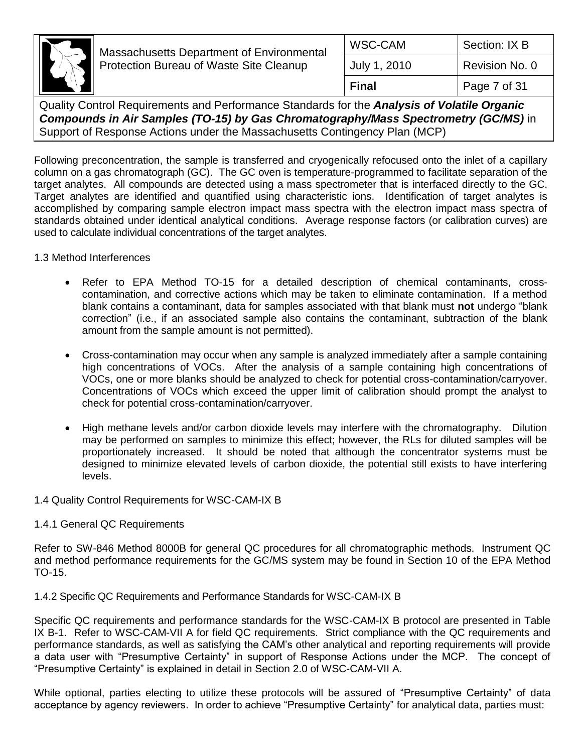

| WSC-CAM      | Section: IX B  |
|--------------|----------------|
| July 1, 2010 | Revision No. 0 |
| Final        | Page 7 of 31   |

Quality Control Requirements and Performance Standards for the *Analysis of Volatile Organic Compounds in Air Samples (TO-15) by Gas Chromatography/Mass Spectrometry (GC/MS)* in Support of Response Actions under the Massachusetts Contingency Plan (MCP)

Following preconcentration, the sample is transferred and cryogenically refocused onto the inlet of a capillary column on a gas chromatograph (GC). The GC oven is temperature-programmed to facilitate separation of the target analytes. All compounds are detected using a mass spectrometer that is interfaced directly to the GC. Target analytes are identified and quantified using characteristic ions. Identification of target analytes is accomplished by comparing sample electron impact mass spectra with the electron impact mass spectra of standards obtained under identical analytical conditions. Average response factors (or calibration curves) are used to calculate individual concentrations of the target analytes.

1.3 Method Interferences

- Refer to EPA Method TO-15 for a detailed description of chemical contaminants, crosscontamination, and corrective actions which may be taken to eliminate contamination. If a method blank contains a contaminant, data for samples associated with that blank must **not** undergo "blank correction" (i.e., if an associated sample also contains the contaminant, subtraction of the blank amount from the sample amount is not permitted).
- Cross-contamination may occur when any sample is analyzed immediately after a sample containing high concentrations of VOCs. After the analysis of a sample containing high concentrations of VOCs, one or more blanks should be analyzed to check for potential cross-contamination/carryover. Concentrations of VOCs which exceed the upper limit of calibration should prompt the analyst to check for potential cross-contamination/carryover.
- High methane levels and/or carbon dioxide levels may interfere with the chromatography. Dilution may be performed on samples to minimize this effect; however, the RLs for diluted samples will be proportionately increased. It should be noted that although the concentrator systems must be designed to minimize elevated levels of carbon dioxide, the potential still exists to have interfering levels.
- 1.4 Quality Control Requirements for WSC-CAM-IX B

#### 1.4.1 General QC Requirements

Refer to SW-846 Method 8000B for general QC procedures for all chromatographic methods. Instrument QC and method performance requirements for the GC/MS system may be found in Section 10 of the EPA Method TO-15.

1.4.2 Specific QC Requirements and Performance Standards for WSC-CAM-IX B

Specific QC requirements and performance standards for the WSC-CAM-IX B protocol are presented in Table IX B-1. Refer to WSC-CAM-VII A for field QC requirements. Strict compliance with the QC requirements and performance standards, as well as satisfying the CAM's other analytical and reporting requirements will provide a data user with "Presumptive Certainty" in support of Response Actions under the MCP. The concept of "Presumptive Certainty" is explained in detail in Section 2.0 of WSC-CAM-VII A.

While optional, parties electing to utilize these protocols will be assured of "Presumptive Certainty" of data acceptance by agency reviewers. In order to achieve "Presumptive Certainty" for analytical data, parties must: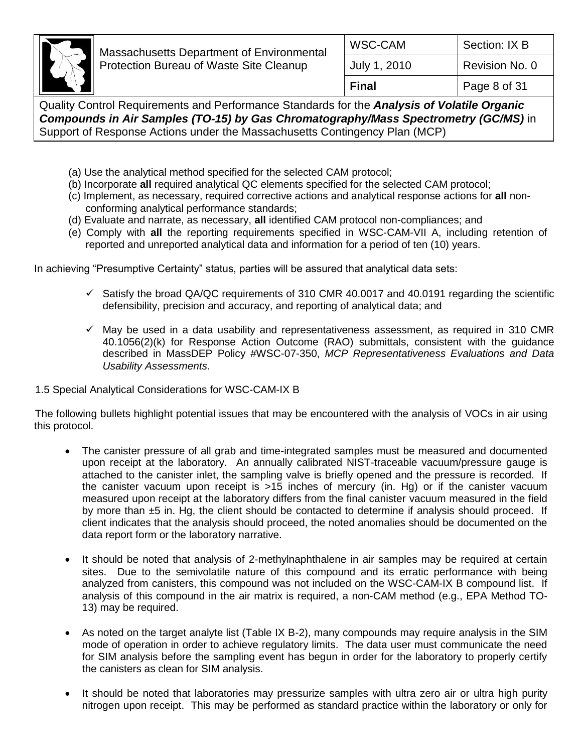

- (a) Use the analytical method specified for the selected CAM protocol;
- (b) Incorporate **all** required analytical QC elements specified for the selected CAM protocol;
- (c) Implement, as necessary, required corrective actions and analytical response actions for **all** nonconforming analytical performance standards;
- (d) Evaluate and narrate, as necessary, **all** identified CAM protocol non-compliances; and
- (e) Comply with **all** the reporting requirements specified in WSC-CAM-VII A, including retention of reported and unreported analytical data and information for a period of ten (10) years.

In achieving "Presumptive Certainty" status, parties will be assured that analytical data sets:

- $\checkmark$  Satisfy the broad QA/QC requirements of 310 CMR 40.0017 and 40.0191 regarding the scientific defensibility, precision and accuracy, and reporting of analytical data; and
- $\checkmark$  May be used in a data usability and representativeness assessment, as required in 310 CMR 40.1056(2)(k) for Response Action Outcome (RAO) submittals, consistent with the guidance described in MassDEP Policy #WSC-07-350, *MCP Representativeness Evaluations and Data Usability Assessments*.
- 1.5 Special Analytical Considerations for WSC-CAM-IX B

The following bullets highlight potential issues that may be encountered with the analysis of VOCs in air using this protocol.

- The canister pressure of all grab and time-integrated samples must be measured and documented upon receipt at the laboratory. An annually calibrated NIST-traceable vacuum/pressure gauge is attached to the canister inlet, the sampling valve is briefly opened and the pressure is recorded. If the canister vacuum upon receipt is >15 inches of mercury (in. Hg) or if the canister vacuum measured upon receipt at the laboratory differs from the final canister vacuum measured in the field by more than ±5 in. Hg, the client should be contacted to determine if analysis should proceed. If client indicates that the analysis should proceed, the noted anomalies should be documented on the data report form or the laboratory narrative.
- It should be noted that analysis of 2-methylnaphthalene in air samples may be required at certain sites. Due to the semivolatile nature of this compound and its erratic performance with being analyzed from canisters, this compound was not included on the WSC-CAM-IX B compound list. If analysis of this compound in the air matrix is required, a non-CAM method (e.g., EPA Method TO-13) may be required.
- As noted on the target analyte list (Table IX B-2), many compounds may require analysis in the SIM mode of operation in order to achieve regulatory limits. The data user must communicate the need for SIM analysis before the sampling event has begun in order for the laboratory to properly certify the canisters as clean for SIM analysis.
- It should be noted that laboratories may pressurize samples with ultra zero air or ultra high purity nitrogen upon receipt. This may be performed as standard practice within the laboratory or only for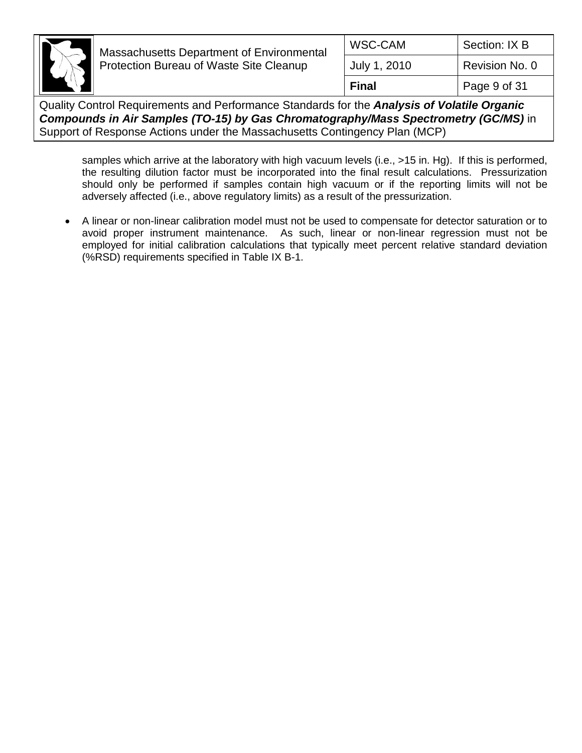

| WSC-CAM      | Section: IX B  |
|--------------|----------------|
| July 1, 2010 | Revision No. 0 |
| Final        | Page 9 of 31   |

Quality Control Requirements and Performance Standards for the *Analysis of Volatile Organic Compounds in Air Samples (TO-15) by Gas Chromatography/Mass Spectrometry (GC/MS)* in Support of Response Actions under the Massachusetts Contingency Plan (MCP)

samples which arrive at the laboratory with high vacuum levels (i.e., >15 in. Hg). If this is performed, the resulting dilution factor must be incorporated into the final result calculations. Pressurization should only be performed if samples contain high vacuum or if the reporting limits will not be adversely affected (i.e., above regulatory limits) as a result of the pressurization.

 A linear or non-linear calibration model must not be used to compensate for detector saturation or to avoid proper instrument maintenance. As such, linear or non-linear regression must not be employed for initial calibration calculations that typically meet percent relative standard deviation (%RSD) requirements specified in Table IX B-1.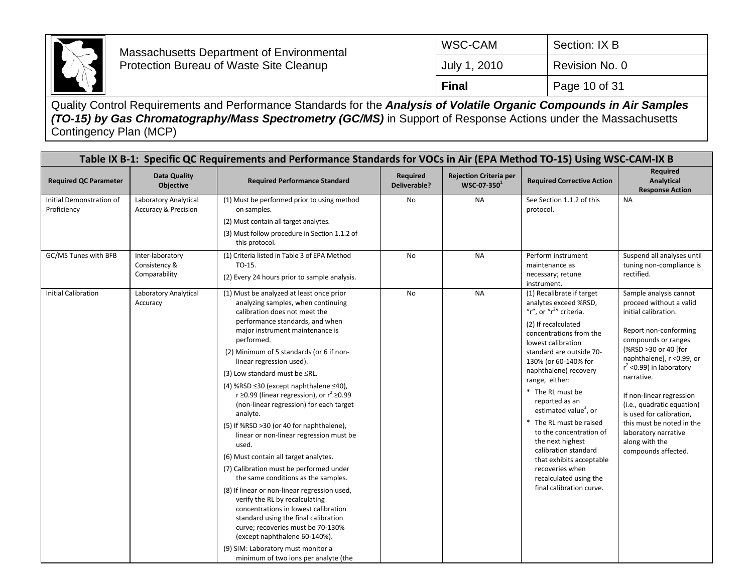

| Final        | Page 10 of 31  |
|--------------|----------------|
| July 1, 2010 | Revision No. 0 |
| I WSC-CAM    | Section: IX B  |

|                                         | Table IX B-1: Specific QC Requirements and Performance Standards for VOCs in Air (EPA Method TO-15) Using WSC-CAM-IX B |                                                                                                                                                                                                                                                                                                                                                                                                                                                                                                                                                                                                                                                                                                                                                                                                                                                                                                                                                                                                                               |                          |                                                 |                                                                                                                                                                                                                                                                                                                                                                                                                                                                                                                                                    |                                                                                                                                                                                                                                                                                                                                                                                                                |
|-----------------------------------------|------------------------------------------------------------------------------------------------------------------------|-------------------------------------------------------------------------------------------------------------------------------------------------------------------------------------------------------------------------------------------------------------------------------------------------------------------------------------------------------------------------------------------------------------------------------------------------------------------------------------------------------------------------------------------------------------------------------------------------------------------------------------------------------------------------------------------------------------------------------------------------------------------------------------------------------------------------------------------------------------------------------------------------------------------------------------------------------------------------------------------------------------------------------|--------------------------|-------------------------------------------------|----------------------------------------------------------------------------------------------------------------------------------------------------------------------------------------------------------------------------------------------------------------------------------------------------------------------------------------------------------------------------------------------------------------------------------------------------------------------------------------------------------------------------------------------------|----------------------------------------------------------------------------------------------------------------------------------------------------------------------------------------------------------------------------------------------------------------------------------------------------------------------------------------------------------------------------------------------------------------|
| <b>Required QC Parameter</b>            | Data Quality<br>Objective                                                                                              | <b>Required Performance Standard</b>                                                                                                                                                                                                                                                                                                                                                                                                                                                                                                                                                                                                                                                                                                                                                                                                                                                                                                                                                                                          | Required<br>Deliverable? | <b>Rejection Criteria per</b><br>$WSC-07-350^1$ | <b>Required Corrective Action</b>                                                                                                                                                                                                                                                                                                                                                                                                                                                                                                                  | <b>Required</b><br>Analytical<br><b>Response Action</b>                                                                                                                                                                                                                                                                                                                                                        |
| Initial Demonstration of<br>Proficiency | Laboratory Analytical<br><b>Accuracy &amp; Precision</b>                                                               | (1) Must be performed prior to using method<br>on samples.<br>(2) Must contain all target analytes.<br>(3) Must follow procedure in Section 1.1.2 of<br>this protocol.                                                                                                                                                                                                                                                                                                                                                                                                                                                                                                                                                                                                                                                                                                                                                                                                                                                        | No                       | <b>NA</b>                                       | See Section 1.1.2 of this<br>protocol.                                                                                                                                                                                                                                                                                                                                                                                                                                                                                                             | <b>NA</b>                                                                                                                                                                                                                                                                                                                                                                                                      |
| GC/MS Tunes with BFB                    | Inter-laboratory<br>Consistency &<br>Comparability                                                                     | (1) Criteria listed in Table 3 of EPA Method<br>TO-15.<br>(2) Every 24 hours prior to sample analysis.                                                                                                                                                                                                                                                                                                                                                                                                                                                                                                                                                                                                                                                                                                                                                                                                                                                                                                                        | <b>No</b>                | <b>NA</b>                                       | Perform instrument<br>maintenance as<br>necessary; retune<br>instrument.                                                                                                                                                                                                                                                                                                                                                                                                                                                                           | Suspend all analyses until<br>tuning non-compliance is<br>rectified.                                                                                                                                                                                                                                                                                                                                           |
| <b>Initial Calibration</b>              | Laboratory Analytical<br>Accuracy                                                                                      | (1) Must be analyzed at least once prior<br>analyzing samples, when continuing<br>calibration does not meet the<br>performance standards, and when<br>major instrument maintenance is<br>performed.<br>(2) Minimum of 5 standards (or 6 if non-<br>linear regression used).<br>(3) Low standard must be $\leq$ RL.<br>(4) %RSD ≤30 (except naphthalene ≤40),<br>r $\geq$ 0.99 (linear regression), or $r^2 \geq 0.99$<br>(non-linear regression) for each target<br>analyte.<br>(5) If %RSD >30 (or 40 for naphthalene),<br>linear or non-linear regression must be<br>used.<br>(6) Must contain all target analytes.<br>(7) Calibration must be performed under<br>the same conditions as the samples.<br>(8) If linear or non-linear regression used,<br>verify the RL by recalculating<br>concentrations in lowest calibration<br>standard using the final calibration<br>curve; recoveries must be 70-130%<br>(except naphthalene 60-140%).<br>(9) SIM: Laboratory must monitor a<br>minimum of two ions per analyte (the | No                       | <b>NA</b>                                       | (1) Recalibrate if target<br>analytes exceed %RSD,<br>"r", or "r <sup>2</sup> " criteria.<br>(2) If recalculated<br>concentrations from the<br>lowest calibration<br>standard are outside 70-<br>130% (or 60-140% for<br>naphthalene) recovery<br>range, either:<br>* The RL must be<br>reported as an<br>estimated value <sup>2</sup> , or<br>* The RL must be raised<br>to the concentration of<br>the next highest<br>calibration standard<br>that exhibits acceptable<br>recoveries when<br>recalculated using the<br>final calibration curve. | Sample analysis cannot<br>proceed without a valid<br>initial calibration.<br>Report non-conforming<br>compounds or ranges<br>(%RSD >30 or 40 [for<br>naphthalene], r <0.99, or<br>$r^2$ <0.99) in laboratory<br>narrative.<br>If non-linear regression<br>(i.e., quadratic equation)<br>is used for calibration,<br>this must be noted in the<br>laboratory narrative<br>along with the<br>compounds affected. |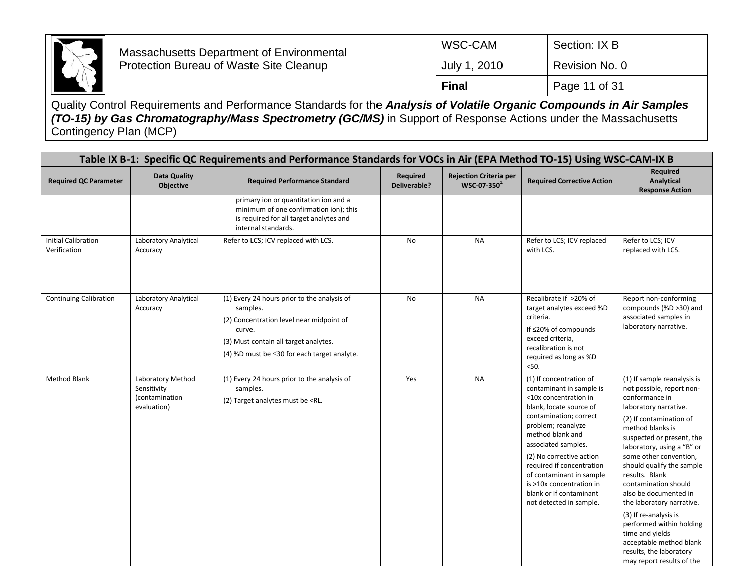

| ∣ Final      | Page 11 of 31  |
|--------------|----------------|
| July 1, 2010 | Revision No. 0 |
| I WSC-CAM    | Section: IX B  |

|                                            | Table IX B-1: Specific QC Requirements and Performance Standards for VOCs in Air (EPA Method TO-15) Using WSC-CAM-IX B |                                                                                                                                                                                                                                                                                                                                                                                                                                                                                                                                                                                                                                                                                                                                                                                                                                                                                                                                                                                                                                                                                                          |                                 |                                                 |                                                                                                                                                                                                                                                                                                                                                                           |                                                                                                                                                                                                                                                                                                                                                                                                                                                                                                                                 |
|--------------------------------------------|------------------------------------------------------------------------------------------------------------------------|----------------------------------------------------------------------------------------------------------------------------------------------------------------------------------------------------------------------------------------------------------------------------------------------------------------------------------------------------------------------------------------------------------------------------------------------------------------------------------------------------------------------------------------------------------------------------------------------------------------------------------------------------------------------------------------------------------------------------------------------------------------------------------------------------------------------------------------------------------------------------------------------------------------------------------------------------------------------------------------------------------------------------------------------------------------------------------------------------------|---------------------------------|-------------------------------------------------|---------------------------------------------------------------------------------------------------------------------------------------------------------------------------------------------------------------------------------------------------------------------------------------------------------------------------------------------------------------------------|---------------------------------------------------------------------------------------------------------------------------------------------------------------------------------------------------------------------------------------------------------------------------------------------------------------------------------------------------------------------------------------------------------------------------------------------------------------------------------------------------------------------------------|
| <b>Required QC Parameter</b>               | <b>Data Quality</b><br><b>Objective</b>                                                                                | <b>Required Performance Standard</b>                                                                                                                                                                                                                                                                                                                                                                                                                                                                                                                                                                                                                                                                                                                                                                                                                                                                                                                                                                                                                                                                     | Required<br><b>Deliverable?</b> | <b>Rejection Criteria per</b><br>$WSC-07-350^1$ | <b>Required Corrective Action</b>                                                                                                                                                                                                                                                                                                                                         | <b>Required</b><br>Analytical<br><b>Response Action</b>                                                                                                                                                                                                                                                                                                                                                                                                                                                                         |
|                                            |                                                                                                                        | primary ion or quantitation ion and a<br>minimum of one confirmation ion); this<br>is required for all target analytes and<br>internal standards.                                                                                                                                                                                                                                                                                                                                                                                                                                                                                                                                                                                                                                                                                                                                                                                                                                                                                                                                                        |                                 |                                                 |                                                                                                                                                                                                                                                                                                                                                                           |                                                                                                                                                                                                                                                                                                                                                                                                                                                                                                                                 |
| <b>Initial Calibration</b><br>Verification | Laboratory Analytical<br>Accuracy                                                                                      | Refer to LCS; ICV replaced with LCS.                                                                                                                                                                                                                                                                                                                                                                                                                                                                                                                                                                                                                                                                                                                                                                                                                                                                                                                                                                                                                                                                     | No                              | <b>NA</b>                                       | Refer to LCS; ICV replaced<br>with LCS.                                                                                                                                                                                                                                                                                                                                   | Refer to LCS; ICV<br>replaced with LCS.                                                                                                                                                                                                                                                                                                                                                                                                                                                                                         |
| <b>Continuing Calibration</b>              | Laboratory Analytical<br>Accuracy                                                                                      | (1) Every 24 hours prior to the analysis of<br>samples.<br>(2) Concentration level near midpoint of<br>curve.<br>(3) Must contain all target analytes.<br>(4) %D must be $\leq$ 30 for each target analyte.                                                                                                                                                                                                                                                                                                                                                                                                                                                                                                                                                                                                                                                                                                                                                                                                                                                                                              | No                              | <b>NA</b>                                       | Recalibrate if >20% of<br>target analytes exceed %D<br>criteria.<br>If ≤20% of compounds<br>exceed criteria,<br>recalibration is not<br>required as long as %D<br>50.                                                                                                                                                                                                     | Report non-conforming<br>compounds (%D >30) and<br>associated samples in<br>laboratory narrative.                                                                                                                                                                                                                                                                                                                                                                                                                               |
| <b>Method Blank</b>                        | Laboratory Method<br>Sensitivity<br>(contamination<br>evaluation)                                                      | (1) Every 24 hours prior to the analysis of<br>samples.<br>(2) Target analytes must be <rl.< td=""><td>Yes</td><td><b>NA</b></td><td>(1) If concentration of<br/>contaminant in sample is<br/>&lt;10x concentration in<br/>blank, locate source of<br/>contamination; correct<br/>problem; reanalyze<br/>method blank and<br/>associated samples.<br/>(2) No corrective action<br/>required if concentration<br/>of contaminant in sample<br/>is &gt;10x concentration in<br/>blank or if contaminant<br/>not detected in sample.</td><td>(1) If sample reanalysis is<br/>not possible, report non-<br/>conformance in<br/>laboratory narrative.<br/>(2) If contamination of<br/>method blanks is<br/>suspected or present, the<br/>laboratory, using a "B" or<br/>some other convention,<br/>should qualify the sample<br/>results. Blank<br/>contamination should<br/>also be documented in<br/>the laboratory narrative.<br/>(3) If re-analysis is<br/>performed within holding<br/>time and yields<br/>acceptable method blank<br/>results, the laboratory<br/>may report results of the</td></rl.<> | Yes                             | <b>NA</b>                                       | (1) If concentration of<br>contaminant in sample is<br><10x concentration in<br>blank, locate source of<br>contamination; correct<br>problem; reanalyze<br>method blank and<br>associated samples.<br>(2) No corrective action<br>required if concentration<br>of contaminant in sample<br>is >10x concentration in<br>blank or if contaminant<br>not detected in sample. | (1) If sample reanalysis is<br>not possible, report non-<br>conformance in<br>laboratory narrative.<br>(2) If contamination of<br>method blanks is<br>suspected or present, the<br>laboratory, using a "B" or<br>some other convention,<br>should qualify the sample<br>results. Blank<br>contamination should<br>also be documented in<br>the laboratory narrative.<br>(3) If re-analysis is<br>performed within holding<br>time and yields<br>acceptable method blank<br>results, the laboratory<br>may report results of the |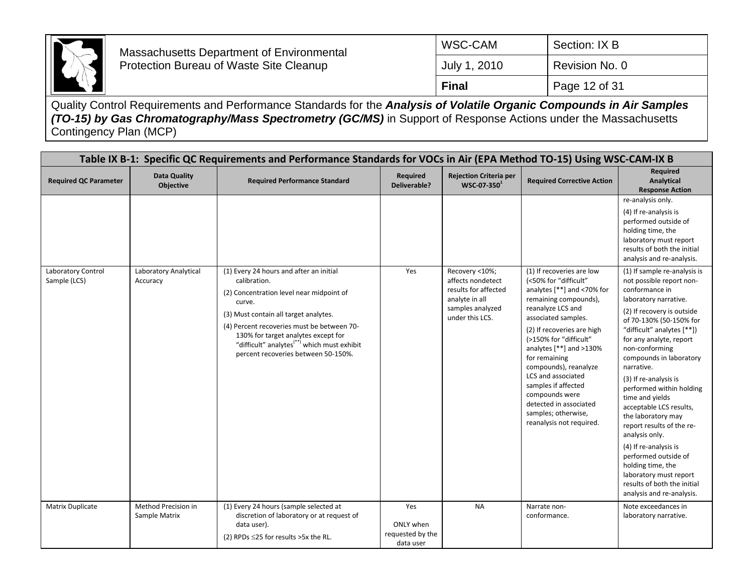

| <b>Final</b> | Page 12 of 31  |
|--------------|----------------|
| July 1, 2010 | Revision No. 0 |
| WSC-CAM      | Section: IX B  |

|                                    |                                         | Table IX B-1: Specific QC Requirements and Performance Standards for VOCs in Air (EPA Method TO-15) Using WSC-CAM-IX B                                                                                                                                                                                                                        |                                                   |                                                                                                                      |                                                                                                                                                                                                                                                                                                                                                                                                                                     |                                                                                                                                                                                                                                                                                                                                                                                                                                                                                                                                                                                                                      |
|------------------------------------|-----------------------------------------|-----------------------------------------------------------------------------------------------------------------------------------------------------------------------------------------------------------------------------------------------------------------------------------------------------------------------------------------------|---------------------------------------------------|----------------------------------------------------------------------------------------------------------------------|-------------------------------------------------------------------------------------------------------------------------------------------------------------------------------------------------------------------------------------------------------------------------------------------------------------------------------------------------------------------------------------------------------------------------------------|----------------------------------------------------------------------------------------------------------------------------------------------------------------------------------------------------------------------------------------------------------------------------------------------------------------------------------------------------------------------------------------------------------------------------------------------------------------------------------------------------------------------------------------------------------------------------------------------------------------------|
| <b>Required QC Parameter</b>       | <b>Data Quality</b><br><b>Objective</b> | <b>Required Performance Standard</b>                                                                                                                                                                                                                                                                                                          | Required<br>Deliverable?                          | <b>Rejection Criteria per</b><br>WSC-07-350 <sup>1</sup>                                                             | <b>Required Corrective Action</b>                                                                                                                                                                                                                                                                                                                                                                                                   | <b>Required</b><br>Analytical<br><b>Response Action</b>                                                                                                                                                                                                                                                                                                                                                                                                                                                                                                                                                              |
|                                    |                                         |                                                                                                                                                                                                                                                                                                                                               |                                                   |                                                                                                                      |                                                                                                                                                                                                                                                                                                                                                                                                                                     | re-analysis only.<br>(4) If re-analysis is<br>performed outside of<br>holding time, the<br>laboratory must report<br>results of both the initial<br>analysis and re-analysis.                                                                                                                                                                                                                                                                                                                                                                                                                                        |
| Laboratory Control<br>Sample (LCS) | Laboratory Analytical<br>Accuracy       | (1) Every 24 hours and after an initial<br>calibration.<br>(2) Concentration level near midpoint of<br>curve.<br>(3) Must contain all target analytes.<br>(4) Percent recoveries must be between 70-<br>130% for target analytes except for<br>"difficult" analytes <sup>(**)</sup> which must exhibit<br>percent recoveries between 50-150%. | Yes                                               | Recovery <10%;<br>affects nondetect<br>results for affected<br>analyte in all<br>samples analyzed<br>under this LCS. | (1) If recoveries are low<br>(<50% for "difficult"<br>analytes [**] and <70% for<br>remaining compounds),<br>reanalyze LCS and<br>associated samples.<br>(2) If recoveries are high<br>(>150% for "difficult"<br>analytes $[**]$ and $>130\%$<br>for remaining<br>compounds), reanalyze<br>LCS and associated<br>samples if affected<br>compounds were<br>detected in associated<br>samples; otherwise,<br>reanalysis not required. | (1) If sample re-analysis is<br>not possible report non-<br>conformance in<br>laboratory narrative.<br>(2) If recovery is outside<br>of 70-130% (50-150% for<br>"difficult" analytes [**])<br>for any analyte, report<br>non-conforming<br>compounds in laboratory<br>narrative.<br>(3) If re-analysis is<br>performed within holding<br>time and yields<br>acceptable LCS results,<br>the laboratory may<br>report results of the re-<br>analysis only.<br>(4) If re-analysis is<br>performed outside of<br>holding time, the<br>laboratory must report<br>results of both the initial<br>analysis and re-analysis. |
| Matrix Duplicate                   | Method Precision in<br>Sample Matrix    | (1) Every 24 hours (sample selected at<br>discretion of laboratory or at request of<br>data user).<br>(2) RPDs $\leq$ 25 for results >5x the RL.                                                                                                                                                                                              | Yes<br>ONLY when<br>requested by the<br>data user | <b>NA</b>                                                                                                            | Narrate non-<br>conformance.                                                                                                                                                                                                                                                                                                                                                                                                        | Note exceedances in<br>laboratory narrative.                                                                                                                                                                                                                                                                                                                                                                                                                                                                                                                                                                         |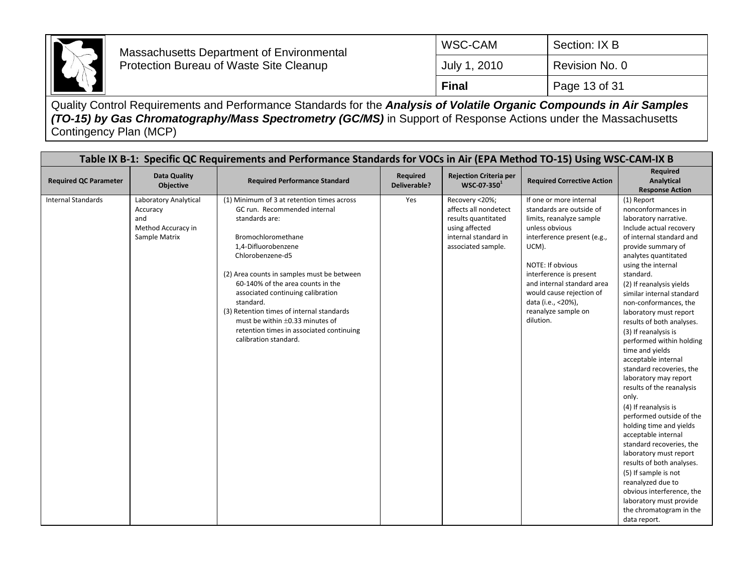

| ∣ Final      | Page 13 of 31  |
|--------------|----------------|
| July 1, 2010 | Revision No. 0 |
| I WSC-CAM    | Section: IX B  |

|                              | Table IX B-1: Specific QC Requirements and Performance Standards for VOCs in Air (EPA Method TO-15) Using WSC-CAM-IX B |                                                                                                                                                                                                                                                                                                                                                                                                                                                              |                          |                                                                                                                                |                                                                                                                                                                                                                                                                                                              |                                                                                                                                                                                                                                                                                                                                                                                                                                                                                                                                                                                                                                                                                                                                                                                                                                                                              |
|------------------------------|------------------------------------------------------------------------------------------------------------------------|--------------------------------------------------------------------------------------------------------------------------------------------------------------------------------------------------------------------------------------------------------------------------------------------------------------------------------------------------------------------------------------------------------------------------------------------------------------|--------------------------|--------------------------------------------------------------------------------------------------------------------------------|--------------------------------------------------------------------------------------------------------------------------------------------------------------------------------------------------------------------------------------------------------------------------------------------------------------|------------------------------------------------------------------------------------------------------------------------------------------------------------------------------------------------------------------------------------------------------------------------------------------------------------------------------------------------------------------------------------------------------------------------------------------------------------------------------------------------------------------------------------------------------------------------------------------------------------------------------------------------------------------------------------------------------------------------------------------------------------------------------------------------------------------------------------------------------------------------------|
| <b>Required QC Parameter</b> | <b>Data Quality</b><br>Objective                                                                                       | <b>Required Performance Standard</b>                                                                                                                                                                                                                                                                                                                                                                                                                         | Required<br>Deliverable? | <b>Rejection Criteria per</b><br>$WSC-07-350^1$                                                                                | <b>Required Corrective Action</b>                                                                                                                                                                                                                                                                            | Required<br>Analytical<br><b>Response Action</b>                                                                                                                                                                                                                                                                                                                                                                                                                                                                                                                                                                                                                                                                                                                                                                                                                             |
| <b>Internal Standards</b>    | Laboratory Analytical<br>Accuracy<br>and<br>Method Accuracy in<br>Sample Matrix                                        | (1) Minimum of 3 at retention times across<br>GC run. Recommended internal<br>standards are:<br>Bromochloromethane<br>1,4-Difluorobenzene<br>Chlorobenzene-d5<br>(2) Area counts in samples must be between<br>60-140% of the area counts in the<br>associated continuing calibration<br>standard.<br>(3) Retention times of internal standards<br>must be within $\pm 0.33$ minutes of<br>retention times in associated continuing<br>calibration standard. | Yes                      | Recovery <20%;<br>affects all nondetect<br>results quantitated<br>using affected<br>internal standard in<br>associated sample. | If one or more internal<br>standards are outside of<br>limits, reanalyze sample<br>unless obvious<br>interference present (e.g.,<br>UCM).<br>NOTE: If obvious<br>interference is present<br>and internal standard area<br>would cause rejection of<br>data (i.e., <20%),<br>reanalyze sample on<br>dilution. | (1) Report<br>nonconformances in<br>laboratory narrative.<br>Include actual recovery<br>of internal standard and<br>provide summary of<br>analytes quantitated<br>using the internal<br>standard.<br>(2) If reanalysis yields<br>similar internal standard<br>non-conformances, the<br>laboratory must report<br>results of both analyses.<br>(3) If reanalysis is<br>performed within holding<br>time and yields<br>acceptable internal<br>standard recoveries, the<br>laboratory may report<br>results of the reanalysis<br>only.<br>(4) If reanalysis is<br>performed outside of the<br>holding time and yields<br>acceptable internal<br>standard recoveries, the<br>laboratory must report<br>results of both analyses.<br>(5) If sample is not<br>reanalyzed due to<br>obvious interference, the<br>laboratory must provide<br>the chromatogram in the<br>data report. |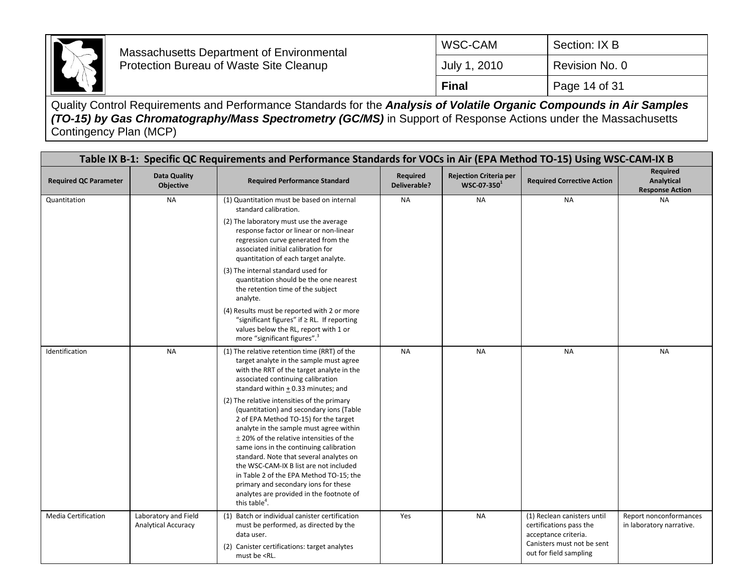

| ∣ Final      | Page 14 of 31  |
|--------------|----------------|
| July 1, 2010 | Revision No. 0 |
| I WSC-CAM    | Section: IX B  |

|                              | Table IX B-1: Specific QC Requirements and Performance Standards for VOCs in Air (EPA Method TO-15) Using WSC-CAM-IX B |                                                                                                                                                                                                                                                                                                                                                                                                                                                                                                                         |                          |                                          |                                                                                                              |                                                         |
|------------------------------|------------------------------------------------------------------------------------------------------------------------|-------------------------------------------------------------------------------------------------------------------------------------------------------------------------------------------------------------------------------------------------------------------------------------------------------------------------------------------------------------------------------------------------------------------------------------------------------------------------------------------------------------------------|--------------------------|------------------------------------------|--------------------------------------------------------------------------------------------------------------|---------------------------------------------------------|
| <b>Required QC Parameter</b> | <b>Data Quality</b><br>Objective                                                                                       | <b>Required Performance Standard</b>                                                                                                                                                                                                                                                                                                                                                                                                                                                                                    | Required<br>Deliverable? | Rejection Criteria per<br>$WSC-07-350^1$ | <b>Required Corrective Action</b>                                                                            | Required<br><b>Analytical</b><br><b>Response Action</b> |
| Quantitation                 | <b>NA</b>                                                                                                              | (1) Quantitation must be based on internal<br>standard calibration.                                                                                                                                                                                                                                                                                                                                                                                                                                                     | <b>NA</b>                | <b>NA</b>                                | <b>NA</b>                                                                                                    | <b>NA</b>                                               |
|                              |                                                                                                                        | (2) The laboratory must use the average<br>response factor or linear or non-linear<br>regression curve generated from the<br>associated initial calibration for<br>quantitation of each target analyte.                                                                                                                                                                                                                                                                                                                 |                          |                                          |                                                                                                              |                                                         |
|                              |                                                                                                                        | (3) The internal standard used for<br>quantitation should be the one nearest<br>the retention time of the subject<br>analyte.                                                                                                                                                                                                                                                                                                                                                                                           |                          |                                          |                                                                                                              |                                                         |
|                              |                                                                                                                        | (4) Results must be reported with 2 or more<br>"significant figures" if $\geq$ RL. If reporting<br>values below the RL, report with 1 or<br>more "significant figures". <sup>3</sup>                                                                                                                                                                                                                                                                                                                                    |                          |                                          |                                                                                                              |                                                         |
| Identification               | <b>NA</b>                                                                                                              | (1) The relative retention time (RRT) of the<br>target analyte in the sample must agree<br>with the RRT of the target analyte in the<br>associated continuing calibration<br>standard within $\pm$ 0.33 minutes; and                                                                                                                                                                                                                                                                                                    | <b>NA</b>                | <b>NA</b>                                | <b>NA</b>                                                                                                    | <b>NA</b>                                               |
|                              |                                                                                                                        | (2) The relative intensities of the primary<br>(quantitation) and secondary ions (Table<br>2 of EPA Method TO-15) for the target<br>analyte in the sample must agree within<br>$\pm$ 20% of the relative intensities of the<br>same ions in the continuing calibration<br>standard. Note that several analytes on<br>the WSC-CAM-IX B list are not included<br>in Table 2 of the EPA Method TO-15; the<br>primary and secondary ions for these<br>analytes are provided in the footnote of<br>this table <sup>4</sup> . |                          |                                          |                                                                                                              |                                                         |
| <b>Media Certification</b>   | Laboratory and Field<br><b>Analytical Accuracy</b>                                                                     | (1) Batch or individual canister certification<br>must be performed, as directed by the<br>data user.<br>(2) Canister certifications: target analytes                                                                                                                                                                                                                                                                                                                                                                   | Yes                      | <b>NA</b>                                | (1) Reclean canisters until<br>certifications pass the<br>acceptance criteria.<br>Canisters must not be sent | Report nonconformances<br>in laboratory narrative.      |
|                              |                                                                                                                        | must be <rl.< td=""><td></td><td></td><td>out for field sampling</td><td></td></rl.<>                                                                                                                                                                                                                                                                                                                                                                                                                                   |                          |                                          | out for field sampling                                                                                       |                                                         |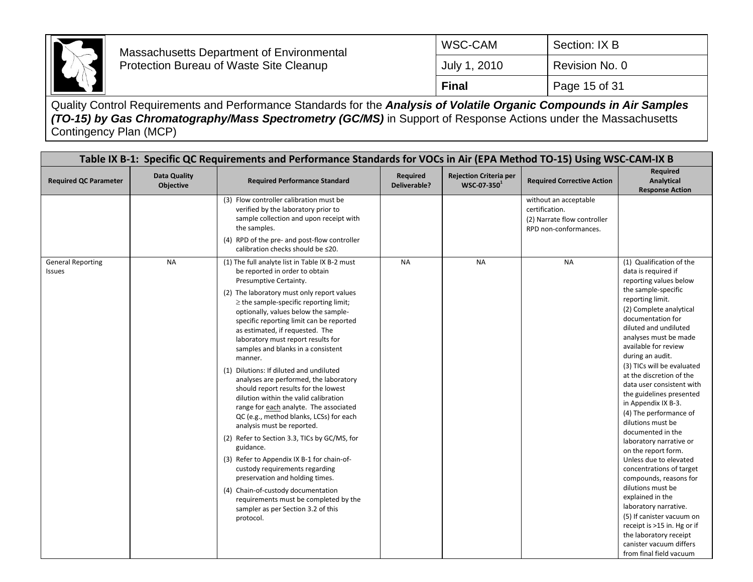

| ∣ Final      | Page 15 of 31  |
|--------------|----------------|
| July 1, 2010 | Revision No. 0 |
| I WSC-CAM    | Section: IX B  |

| Table IX B-1: Specific QC Requirements and Performance Standards for VOCs in Air (EPA Method TO-15) Using WSC-CAM-IX B |                                         |                                                                                                                                                                                                                                                                                                                                                                                                                                                                                                                                                                                                                                                                                                                                                                                                                                                                                                                                                                               |                          |                                                 |                                                                                                              |                                                                                                                                                                                                                                                                                                                                                                                                                                                                                                                                                                                                                                                                                                                                                                                                      |
|------------------------------------------------------------------------------------------------------------------------|-----------------------------------------|-------------------------------------------------------------------------------------------------------------------------------------------------------------------------------------------------------------------------------------------------------------------------------------------------------------------------------------------------------------------------------------------------------------------------------------------------------------------------------------------------------------------------------------------------------------------------------------------------------------------------------------------------------------------------------------------------------------------------------------------------------------------------------------------------------------------------------------------------------------------------------------------------------------------------------------------------------------------------------|--------------------------|-------------------------------------------------|--------------------------------------------------------------------------------------------------------------|------------------------------------------------------------------------------------------------------------------------------------------------------------------------------------------------------------------------------------------------------------------------------------------------------------------------------------------------------------------------------------------------------------------------------------------------------------------------------------------------------------------------------------------------------------------------------------------------------------------------------------------------------------------------------------------------------------------------------------------------------------------------------------------------------|
| <b>Required QC Parameter</b>                                                                                           | <b>Data Quality</b><br><b>Objective</b> | <b>Required Performance Standard</b>                                                                                                                                                                                                                                                                                                                                                                                                                                                                                                                                                                                                                                                                                                                                                                                                                                                                                                                                          | Required<br>Deliverable? | <b>Rejection Criteria per</b><br>$WSC-07-350^1$ | <b>Required Corrective Action</b>                                                                            | <b>Required</b><br>Analytical<br><b>Response Action</b>                                                                                                                                                                                                                                                                                                                                                                                                                                                                                                                                                                                                                                                                                                                                              |
| <b>General Reporting</b>                                                                                               | <b>NA</b>                               | (3) Flow controller calibration must be<br>verified by the laboratory prior to<br>sample collection and upon receipt with<br>the samples.<br>(4) RPD of the pre- and post-flow controller<br>calibration checks should be ≤20.<br>(1) The full analyte list in Table IX B-2 must                                                                                                                                                                                                                                                                                                                                                                                                                                                                                                                                                                                                                                                                                              | <b>NA</b>                | <b>NA</b>                                       | without an acceptable<br>certification.<br>(2) Narrate flow controller<br>RPD non-conformances.<br><b>NA</b> | (1) Qualification of the                                                                                                                                                                                                                                                                                                                                                                                                                                                                                                                                                                                                                                                                                                                                                                             |
| <b>Issues</b>                                                                                                          |                                         | be reported in order to obtain<br>Presumptive Certainty.<br>(2) The laboratory must only report values<br>$\ge$ the sample-specific reporting limit;<br>optionally, values below the sample-<br>specific reporting limit can be reported<br>as estimated, if requested. The<br>laboratory must report results for<br>samples and blanks in a consistent<br>manner.<br>(1) Dilutions: If diluted and undiluted<br>analyses are performed, the laboratory<br>should report results for the lowest<br>dilution within the valid calibration<br>range for each analyte. The associated<br>QC (e.g., method blanks, LCSs) for each<br>analysis must be reported.<br>(2) Refer to Section 3.3, TICs by GC/MS, for<br>guidance.<br>(3) Refer to Appendix IX B-1 for chain-of-<br>custody requirements regarding<br>preservation and holding times.<br>(4) Chain-of-custody documentation<br>requirements must be completed by the<br>sampler as per Section 3.2 of this<br>protocol. |                          |                                                 |                                                                                                              | data is required if<br>reporting values below<br>the sample-specific<br>reporting limit.<br>(2) Complete analytical<br>documentation for<br>diluted and undiluted<br>analyses must be made<br>available for review<br>during an audit.<br>(3) TICs will be evaluated<br>at the discretion of the<br>data user consistent with<br>the guidelines presented<br>in Appendix IX B-3.<br>(4) The performance of<br>dilutions must be<br>documented in the<br>laboratory narrative or<br>on the report form.<br>Unless due to elevated<br>concentrations of target<br>compounds, reasons for<br>dilutions must be<br>explained in the<br>laboratory narrative.<br>(5) If canister vacuum on<br>receipt is >15 in. Hg or if<br>the laboratory receipt<br>canister vacuum differs<br>from final field vacuum |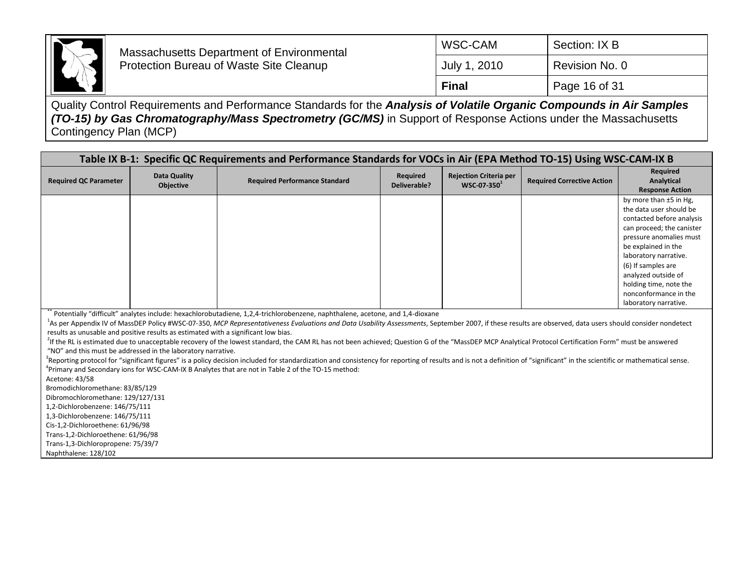

| Final        | Page 16 of 31  |
|--------------|----------------|
| July 1, 2010 | Revision No. 0 |
| WSC-CAM      | Section: IX B  |

| Table IX B-1: Specific QC Requirements and Performance Standards for VOCs in Air (EPA Method TO-15) Using WSC-CAM-IX B                                                                                                                                                                                                                                                                                                                                                                                                                                                                                                                 |                           |                                      |                          |                                                 |                                   |                                                                                                                                                                                                                                                                                                                   |
|----------------------------------------------------------------------------------------------------------------------------------------------------------------------------------------------------------------------------------------------------------------------------------------------------------------------------------------------------------------------------------------------------------------------------------------------------------------------------------------------------------------------------------------------------------------------------------------------------------------------------------------|---------------------------|--------------------------------------|--------------------------|-------------------------------------------------|-----------------------------------|-------------------------------------------------------------------------------------------------------------------------------------------------------------------------------------------------------------------------------------------------------------------------------------------------------------------|
| <b>Required QC Parameter</b>                                                                                                                                                                                                                                                                                                                                                                                                                                                                                                                                                                                                           | Data Quality<br>Objective | <b>Required Performance Standard</b> | Required<br>Deliverable? | <b>Rejection Criteria per</b><br>$WSC-07-350^1$ | <b>Required Corrective Action</b> | Required<br>Analytical<br><b>Response Action</b>                                                                                                                                                                                                                                                                  |
|                                                                                                                                                                                                                                                                                                                                                                                                                                                                                                                                                                                                                                        |                           |                                      |                          |                                                 |                                   | by more than $±5$ in Hg,<br>the data user should be<br>contacted before analysis<br>can proceed; the canister<br>pressure anomalies must<br>be explained in the<br>laboratory narrative.<br>(6) If samples are<br>analyzed outside of<br>holding time, note the<br>nonconformance in the<br>laboratory narrative. |
| Potentially "difficult" analytes include: hexachlorobutadiene, 1,2,4-trichlorobenzene, naphthalene, acetone, and 1,4-dioxane<br>As per Appendix IV of MassDEP Policy #WSC-07-350, MCP Representativeness Evaluations and Data Usability Assessments, September 2007, if these results are observed, data users should consider nondetect<br>results as unusable and positive results as estimated with a significant low bias.<br>f the RL is estimated due to unacceptable recovery of the lowest standard, the CAM RL has not been achieved; Question G of the "MassDEP MCP Analytical Protocol Certification Form" must be answered |                           |                                      |                          |                                                 |                                   |                                                                                                                                                                                                                                                                                                                   |

"NO" and this must be addressed in the laboratory narrative.

<sup>3</sup>Reporting protocol for "significant figures" is a policy decision included for standardization and consistency for reporting of results and is not a definition of "significant" in the scientific or mathematical sense. 4 Primary and Secondary ions for WSC-CAM-IX B Analytes that are not in Table 2 of the TO-15 method:

Acetone: 43/58

Bromodichloromethane: 83/85/129

Dibromochloromethane: 129/127/131

1,2-Dichlorobenzene: 146/75/111

1,3-Dichlorobenzene: 146/75/111

Cis-1,2-Dichloroethene: 61/96/98

Trans-1,2-Dichloroethene: 61/96/98 Trans-1,3-Dichloropropene: 75/39/7

Naphthalene: 128/102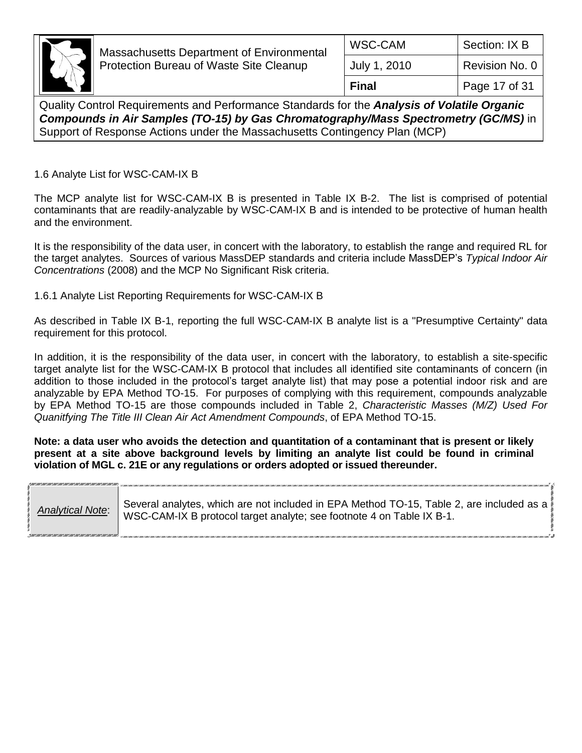

| Final        | Page 17 of 31  |
|--------------|----------------|
| July 1, 2010 | Revision No. 0 |
| WSC-CAM      | Section: IX B  |

Quality Control Requirements and Performance Standards for the *Analysis of Volatile Organic Compounds in Air Samples (TO-15) by Gas Chromatography/Mass Spectrometry (GC/MS)* in Support of Response Actions under the Massachusetts Contingency Plan (MCP)

1.6 Analyte List for WSC-CAM-IX B

The MCP analyte list for WSC-CAM-IX B is presented in Table IX B-2. The list is comprised of potential contaminants that are readily-analyzable by WSC-CAM-IX B and is intended to be protective of human health and the environment.

It is the responsibility of the data user, in concert with the laboratory, to establish the range and required RL for the target analytes. Sources of various MassDEP standards and criteria include MassDEP's *Typical Indoor Air Concentrations* (2008) and the MCP No Significant Risk criteria.

1.6.1 Analyte List Reporting Requirements for WSC-CAM-IX B

As described in Table IX B-1, reporting the full WSC-CAM-IX B analyte list is a "Presumptive Certainty" data requirement for this protocol.

In addition, it is the responsibility of the data user, in concert with the laboratory, to establish a site-specific target analyte list for the WSC-CAM-IX B protocol that includes all identified site contaminants of concern (in addition to those included in the protocol's target analyte list) that may pose a potential indoor risk and are analyzable by EPA Method TO-15. For purposes of complying with this requirement, compounds analyzable by EPA Method TO-15 are those compounds included in Table 2, *Characteristic Masses (M/Z) Used For Quanitfying The Title III Clean Air Act Amendment Compounds*, of EPA Method TO-15.

**Note: a data user who avoids the detection and quantitation of a contaminant that is present or likely present at a site above background levels by limiting an analyte list could be found in criminal violation of MGL c. 21E or any regulations or orders adopted or issued thereunder.**

|                         | Several analytes, which are not included in EPA Method TO-15, Table 2, are included as a |  |
|-------------------------|------------------------------------------------------------------------------------------|--|
| <b>Analytical Note:</b> | WSC-CAM-IX B protocol target analyte; see footnote 4 on Table IX B-1.                    |  |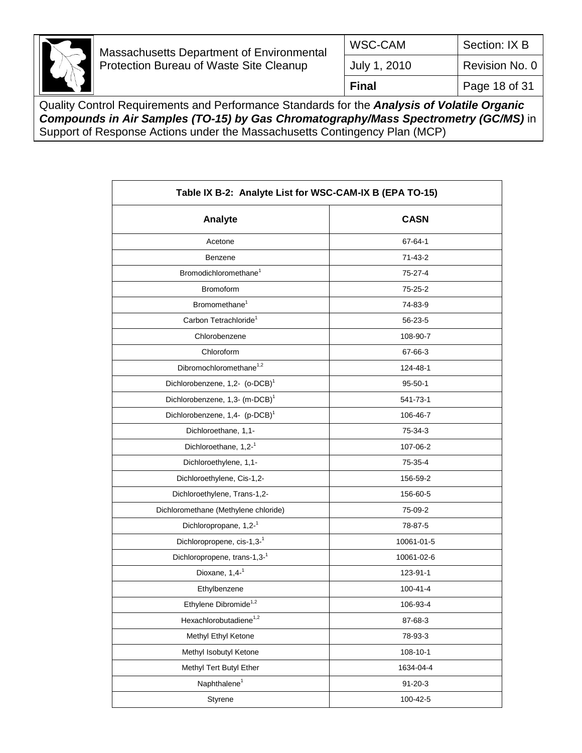

| WSC-CAM      | Section: IX B  |
|--------------|----------------|
| July 1, 2010 | Revision No. 0 |
| <b>Final</b> | Page 18 of 31  |

| Table IX B-2: Analyte List for WSC-CAM-IX B (EPA TO-15) |               |  |
|---------------------------------------------------------|---------------|--|
| Analyte                                                 | <b>CASN</b>   |  |
| Acetone                                                 | 67-64-1       |  |
| Benzene                                                 | 71-43-2       |  |
| Bromodichloromethane <sup>1</sup>                       | 75-27-4       |  |
| <b>Bromoform</b>                                        | 75-25-2       |  |
| Bromomethane <sup>1</sup>                               | 74-83-9       |  |
| Carbon Tetrachloride <sup>1</sup>                       | 56-23-5       |  |
| Chlorobenzene                                           | 108-90-7      |  |
| Chloroform                                              | 67-66-3       |  |
| Dibromochloromethane <sup>1,2</sup>                     | 124-48-1      |  |
| Dichlorobenzene, 1,2- (o-DCB) <sup>1</sup>              | $95 - 50 - 1$ |  |
| Dichlorobenzene, 1,3- (m-DCB) <sup>1</sup>              | 541-73-1      |  |
| Dichlorobenzene, 1,4- (p-DCB) <sup>1</sup>              | 106-46-7      |  |
| Dichloroethane, 1,1-                                    | 75-34-3       |  |
| Dichloroethane, 1,2-1                                   | 107-06-2      |  |
| Dichloroethylene, 1,1-                                  | 75-35-4       |  |
| Dichloroethylene, Cis-1,2-                              | 156-59-2      |  |
| Dichloroethylene, Trans-1,2-                            | 156-60-5      |  |
| Dichloromethane (Methylene chloride)                    | 75-09-2       |  |
| Dichloropropane, 1,2-1                                  | 78-87-5       |  |
| Dichloropropene, cis-1,3-1                              | 10061-01-5    |  |
| Dichloropropene, trans-1,3-1                            | 10061-02-6    |  |
| Dioxane, 1,4-1                                          | 123-91-1      |  |
| Ethylbenzene                                            | 100-41-4      |  |
| Ethylene Dibromide <sup>1,2</sup>                       | 106-93-4      |  |
| Hexachlorobutadiene <sup>1,2</sup>                      | 87-68-3       |  |
| Methyl Ethyl Ketone                                     | 78-93-3       |  |
| Methyl Isobutyl Ketone                                  | 108-10-1      |  |
| Methyl Tert Butyl Ether                                 | 1634-04-4     |  |
| Naphthalene <sup>1</sup>                                | $91 - 20 - 3$ |  |
| Styrene                                                 | 100-42-5      |  |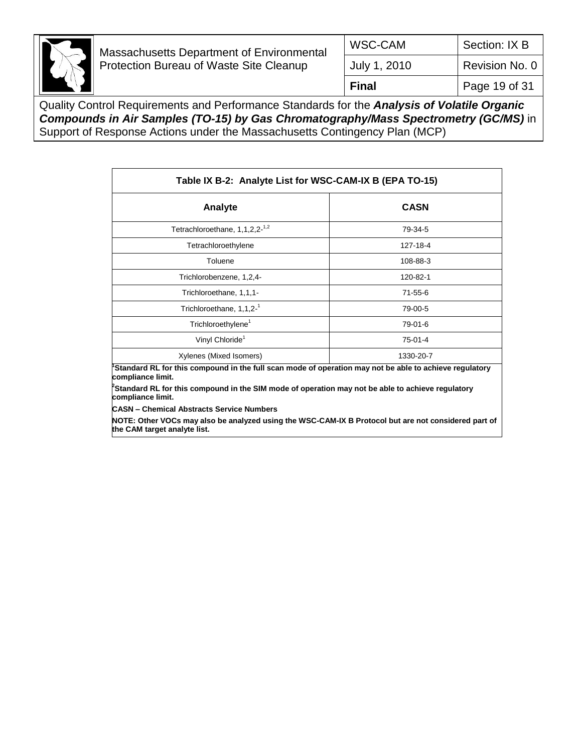

| WSC-CAM      | Section: IX B  |
|--------------|----------------|
| July 1, 2010 | Revision No. 0 |
| Final        | Page 19 of 31  |

| Table IX B-2: Analyte List for WSC-CAM-IX B (EPA TO-15)                                                                                                                                                                                                          |               |  |  |
|------------------------------------------------------------------------------------------------------------------------------------------------------------------------------------------------------------------------------------------------------------------|---------------|--|--|
| Analyte                                                                                                                                                                                                                                                          | <b>CASN</b>   |  |  |
| Tetrachloroethane, 1,1,2,2- <sup>1,2</sup>                                                                                                                                                                                                                       | 79-34-5       |  |  |
| Tetrachloroethylene                                                                                                                                                                                                                                              | 127-18-4      |  |  |
| Toluene                                                                                                                                                                                                                                                          | 108-88-3      |  |  |
| Trichlorobenzene, 1,2,4-                                                                                                                                                                                                                                         | 120-82-1      |  |  |
| Trichloroethane, 1,1,1-                                                                                                                                                                                                                                          | $71 - 55 - 6$ |  |  |
| Trichloroethane, 1,1,2-1                                                                                                                                                                                                                                         | 79-00-5       |  |  |
| Trichloroethylene <sup>1</sup>                                                                                                                                                                                                                                   | 79-01-6       |  |  |
| Vinyl Chloride <sup>1</sup>                                                                                                                                                                                                                                      | $75-01-4$     |  |  |
| Xylenes (Mixed Isomers)                                                                                                                                                                                                                                          | 1330-20-7     |  |  |
| Standard RL for this compound in the full scan mode of operation may not be able to achieve regulatory<br>compliance limit.<br>${}^{\rho}$ Standard RL for this compound in the SIM mode of operation may not be able to achieve regulatory<br>compliance limit. |               |  |  |
| <b>CASN - Chemical Abstracts Service Numbers</b>                                                                                                                                                                                                                 |               |  |  |
| NOTE: Other VOCs may also be analyzed using the WSC-CAM-IX B Protocol but are not considered part of<br>the CAM target analyte list.                                                                                                                             |               |  |  |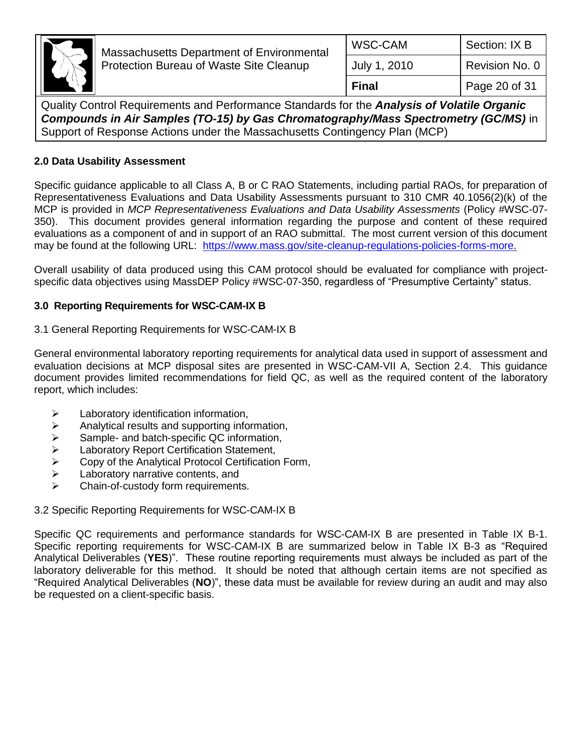

| WSC-CAM      | Section: IX B  |
|--------------|----------------|
| July 1, 2010 | Revision No. 0 |
| <b>Final</b> | Page 20 of 31  |

Quality Control Requirements and Performance Standards for the *Analysis of Volatile Organic Compounds in Air Samples (TO-15) by Gas Chromatography/Mass Spectrometry (GC/MS)* in Support of Response Actions under the Massachusetts Contingency Plan (MCP)

### **2.0 Data Usability Assessment**

Specific guidance applicable to all Class A, B or C RAO Statements, including partial RAOs, for preparation of Representativeness Evaluations and Data Usability Assessments pursuant to 310 CMR 40.1056(2)(k) of the MCP is provided in *MCP Representativeness Evaluations and Data Usability Assessments* (Policy #WSC-07- 350). This document provides general information regarding the purpose and content of these required evaluations as a component of and in support of an RAO submittal. The most current version of this document may be found at the following URL: [https://www.mass.gov/site-cleanup-regulations-policies-forms-more.](https://www.mass.gov/site-cleanup-regulations-policies-forms-more)

Overall usability of data produced using this CAM protocol should be evaluated for compliance with projectspecific data objectives using MassDEP Policy #WSC-07-350, regardless of "Presumptive Certainty" status.

#### **3.0 Reporting Requirements for WSC-CAM-IX B**

#### 3.1 General Reporting Requirements for WSC-CAM-IX B

General environmental laboratory reporting requirements for analytical data used in support of assessment and evaluation decisions at MCP disposal sites are presented in WSC-CAM-VII A, Section 2.4. This guidance document provides limited recommendations for field QC, as well as the required content of the laboratory report, which includes:

- Laboratory identification information,
- $\triangleright$  Analytical results and supporting information,
- $\geq$  Sample- and batch-specific QC information,<br>  $\geq$  Laboratory Report Certification Statement,
- Laboratory Report Certification Statement,
- $\geq$  Copy of the Analytical Protocol Certification Form,<br>  $\geq$  Laboratory narrative contents, and
- Laboratory narrative contents, and
- > Chain-of-custody form requirements.

#### 3.2 Specific Reporting Requirements for WSC-CAM-IX B

Specific QC requirements and performance standards for WSC-CAM-IX B are presented in Table IX B-1. Specific reporting requirements for WSC-CAM-IX B are summarized below in Table IX B-3 as "Required Analytical Deliverables (**YES**)". These routine reporting requirements must always be included as part of the laboratory deliverable for this method. It should be noted that although certain items are not specified as "Required Analytical Deliverables (**NO**)", these data must be available for review during an audit and may also be requested on a client-specific basis.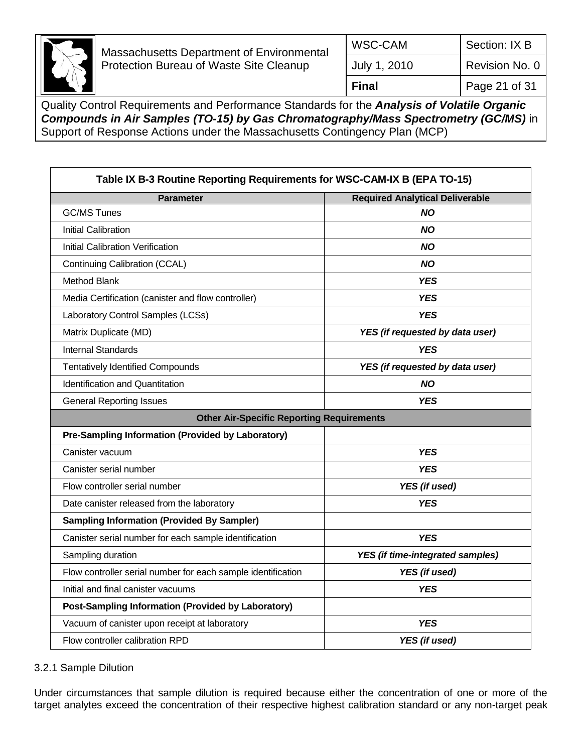

| WSC-CAM      | Section: IX B  |
|--------------|----------------|
| July 1, 2010 | Revision No. 0 |
| <b>Final</b> | Page 21 of 31  |

Quality Control Requirements and Performance Standards for the *Analysis of Volatile Organic Compounds in Air Samples (TO-15) by Gas Chromatography/Mass Spectrometry (GC/MS)* in Support of Response Actions under the Massachusetts Contingency Plan (MCP)

| Table IX B-3 Routine Reporting Requirements for WSC-CAM-IX B (EPA TO-15) |                                         |  |
|--------------------------------------------------------------------------|-----------------------------------------|--|
| <b>Parameter</b>                                                         | <b>Required Analytical Deliverable</b>  |  |
| <b>GC/MS Tunes</b>                                                       | <b>NO</b>                               |  |
| <b>Initial Calibration</b>                                               | <b>NO</b>                               |  |
| <b>Initial Calibration Verification</b>                                  | <b>NO</b>                               |  |
| Continuing Calibration (CCAL)                                            | <b>NO</b>                               |  |
| <b>Method Blank</b>                                                      | <b>YES</b>                              |  |
| Media Certification (canister and flow controller)                       | <b>YES</b>                              |  |
| Laboratory Control Samples (LCSs)                                        | <b>YES</b>                              |  |
| Matrix Duplicate (MD)                                                    | YES (if requested by data user)         |  |
| <b>Internal Standards</b>                                                | <b>YES</b>                              |  |
| <b>Tentatively Identified Compounds</b>                                  | YES (if requested by data user)         |  |
| <b>Identification and Quantitation</b>                                   | <b>NO</b>                               |  |
| <b>General Reporting Issues</b>                                          | <b>YES</b>                              |  |
| <b>Other Air-Specific Reporting Requirements</b>                         |                                         |  |
| Pre-Sampling Information (Provided by Laboratory)                        |                                         |  |
|                                                                          |                                         |  |
| Canister vacuum                                                          | <b>YES</b>                              |  |
| Canister serial number                                                   | <b>YES</b>                              |  |
| Flow controller serial number                                            | YES (if used)                           |  |
| Date canister released from the laboratory                               | <b>YES</b>                              |  |
| <b>Sampling Information (Provided By Sampler)</b>                        |                                         |  |
| Canister serial number for each sample identification                    | <b>YES</b>                              |  |
| Sampling duration                                                        | <b>YES</b> (if time-integrated samples) |  |
| Flow controller serial number for each sample identification             | YES (if used)                           |  |
| Initial and final canister vacuums                                       | <b>YES</b>                              |  |
| <b>Post-Sampling Information (Provided by Laboratory)</b>                |                                         |  |
| Vacuum of canister upon receipt at laboratory                            | <b>YES</b>                              |  |

#### 3.2.1 Sample Dilution

Under circumstances that sample dilution is required because either the concentration of one or more of the target analytes exceed the concentration of their respective highest calibration standard or any non-target peak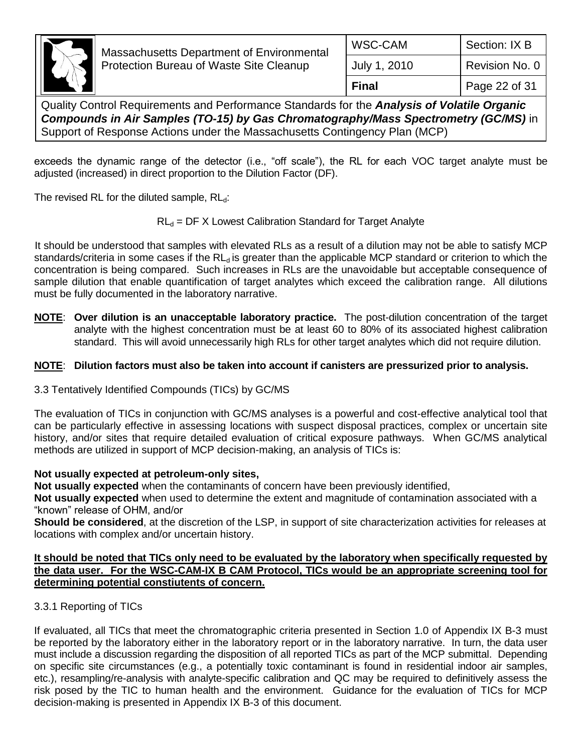

| Final        | Page 22 of 31  |
|--------------|----------------|
| July 1, 2010 | Revision No. 0 |
| WSC-CAM      | Section: IX B  |
|              |                |

Quality Control Requirements and Performance Standards for the *Analysis of Volatile Organic Compounds in Air Samples (TO-15) by Gas Chromatography/Mass Spectrometry (GC/MS)* in Support of Response Actions under the Massachusetts Contingency Plan (MCP)

exceeds the dynamic range of the detector (i.e., "off scale"), the RL for each VOC target analyte must be adjusted (increased) in direct proportion to the Dilution Factor (DF).

The revised RL for the diluted sample,  $RL<sub>d</sub>$ :

 $RL_d = DF X$  Lowest Calibration Standard for Target Analyte

It should be understood that samples with elevated RLs as a result of a dilution may not be able to satisfy MCP standards/criteria in some cases if the  $RL_d$  is greater than the applicable MCP standard or criterion to which the concentration is being compared. Such increases in RLs are the unavoidable but acceptable consequence of sample dilution that enable quantification of target analytes which exceed the calibration range. All dilutions must be fully documented in the laboratory narrative.

**NOTE**: **Over dilution is an unacceptable laboratory practice.** The post-dilution concentration of the target analyte with the highest concentration must be at least 60 to 80% of its associated highest calibration standard. This will avoid unnecessarily high RLs for other target analytes which did not require dilution.

#### **NOTE**: **Dilution factors must also be taken into account if canisters are pressurized prior to analysis.**

3.3 Tentatively Identified Compounds (TICs) by GC/MS

The evaluation of TICs in conjunction with GC/MS analyses is a powerful and cost-effective analytical tool that can be particularly effective in assessing locations with suspect disposal practices, complex or uncertain site history, and/or sites that require detailed evaluation of critical exposure pathways. When GC/MS analytical methods are utilized in support of MCP decision-making, an analysis of TICs is:

#### **Not usually expected at petroleum-only sites,**

**Not usually expected** when the contaminants of concern have been previously identified,

**Not usually expected** when used to determine the extent and magnitude of contamination associated with a "known" release of OHM, and/or

**Should be considered**, at the discretion of the LSP, in support of site characterization activities for releases at locations with complex and/or uncertain history.

#### **It should be noted that TICs only need to be evaluated by the laboratory when specifically requested by the data user. For the WSC-CAM-IX B CAM Protocol, TICs would be an appropriate screening tool for determining potential constiutents of concern.**

## 3.3.1 Reporting of TICs

If evaluated, all TICs that meet the chromatographic criteria presented in Section 1.0 of Appendix IX B-3 must be reported by the laboratory either in the laboratory report or in the laboratory narrative. In turn, the data user must include a discussion regarding the disposition of all reported TICs as part of the MCP submittal. Depending on specific site circumstances (e.g., a potentially toxic contaminant is found in residential indoor air samples, etc.), resampling/re-analysis with analyte-specific calibration and QC may be required to definitively assess the risk posed by the TIC to human health and the environment. Guidance for the evaluation of TICs for MCP decision-making is presented in Appendix IX B-3 of this document.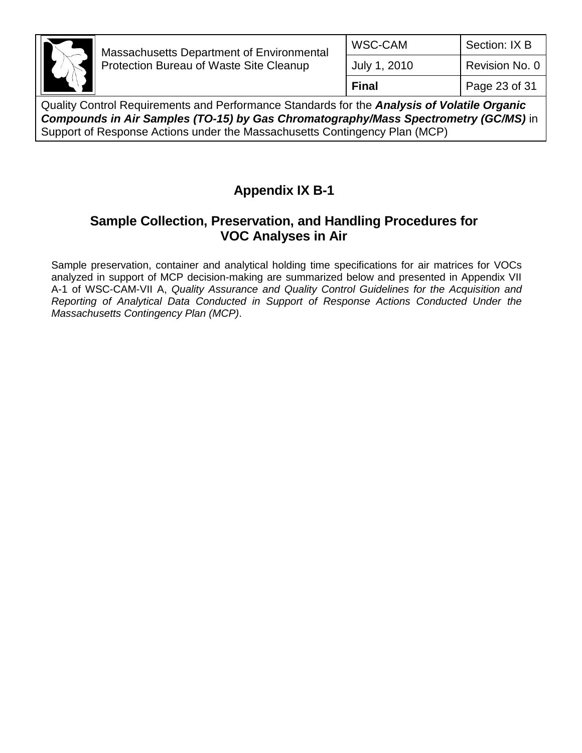

| WSC-CAM      | Section: IX B  |
|--------------|----------------|
| July 1, 2010 | Revision No. 0 |
| <b>Final</b> | Page 23 of 31  |

Quality Control Requirements and Performance Standards for the *Analysis of Volatile Organic Compounds in Air Samples (TO-15) by Gas Chromatography/Mass Spectrometry (GC/MS)* in Support of Response Actions under the Massachusetts Contingency Plan (MCP)

# **Appendix IX B-1**

# **Sample Collection, Preservation, and Handling Procedures for VOC Analyses in Air**

Sample preservation, container and analytical holding time specifications for air matrices for VOCs analyzed in support of MCP decision-making are summarized below and presented in Appendix VII A-1 of WSC-CAM-VII A, *Quality Assurance and Quality Control Guidelines for the Acquisition and Reporting of Analytical Data Conducted in Support of Response Actions Conducted Under the Massachusetts Contingency Plan (MCP)*.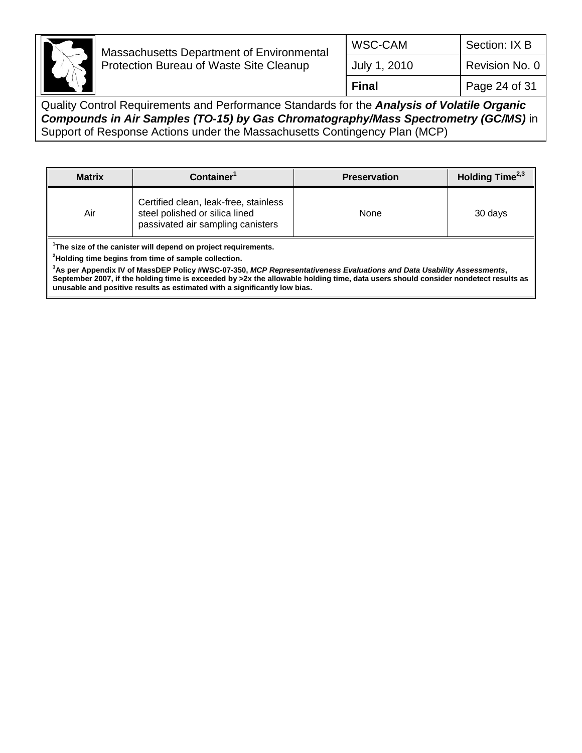

| WSC-CAM      | Section: IX B  |
|--------------|----------------|
| July 1, 2010 | Revision No. 0 |
| <b>Final</b> | Page 24 of 31  |

Quality Control Requirements and Performance Standards for the *Analysis of Volatile Organic Compounds in Air Samples (TO-15) by Gas Chromatography/Mass Spectrometry (GC/MS)* in Support of Response Actions under the Massachusetts Contingency Plan (MCP)

| <b>Matrix</b> | Container <sup>1</sup>                                                                                       | <b>Preservation</b> | Holding Time <sup>2,3</sup> |
|---------------|--------------------------------------------------------------------------------------------------------------|---------------------|-----------------------------|
| Air           | Certified clean, leak-free, stainless<br>steel polished or silica lined<br>passivated air sampling canisters | None                | 30 days                     |

**1 The size of the canister will depend on project requirements.**

**<sup>2</sup>Holding time begins from time of sample collection.**

**<sup>3</sup>As per Appendix IV of MassDEP Policy #WSC-07-350,** *MCP Representativeness Evaluations and Data Usability Assessments***, September 2007, if the holding time is exceeded by >2x the allowable holding time, data users should consider nondetect results as unusable and positive results as estimated with a significantly low bias.**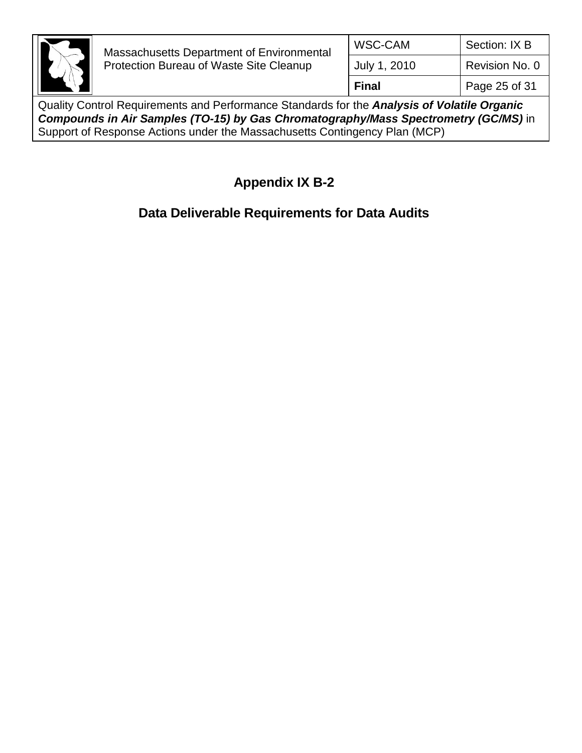

Quality Control Requirements and Performance Standards for the *Analysis of Volatile Organic Compounds in Air Samples (TO-15) by Gas Chromatography/Mass Spectrometry (GC/MS)* in Support of Response Actions under the Massachusetts Contingency Plan (MCP)

# **Appendix IX B-2**

# **Data Deliverable Requirements for Data Audits**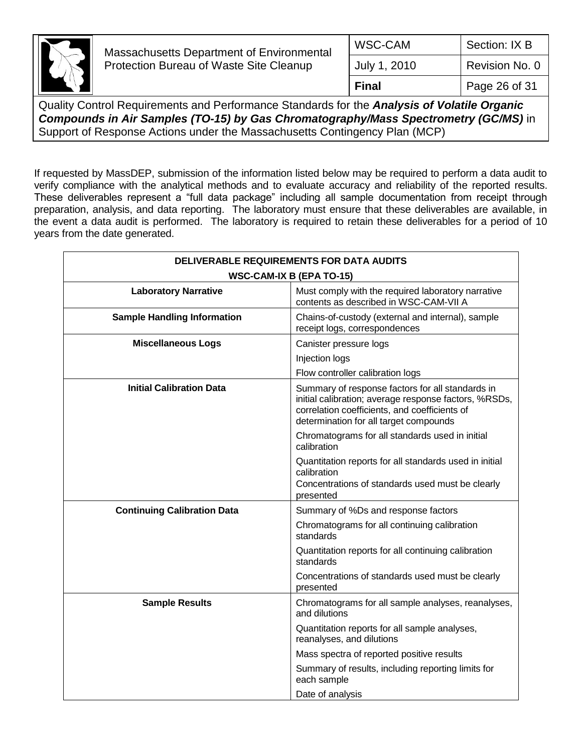

If requested by MassDEP, submission of the information listed below may be required to perform a data audit to verify compliance with the analytical methods and to evaluate accuracy and reliability of the reported results. These deliverables represent a "full data package" including all sample documentation from receipt through preparation, analysis, and data reporting. The laboratory must ensure that these deliverables are available, in the event a data audit is performed. The laboratory is required to retain these deliverables for a period of 10 years from the date generated.

| DELIVERABLE REQUIREMENTS FOR DATA AUDITS |                                                                                                                                                                                                      |  |
|------------------------------------------|------------------------------------------------------------------------------------------------------------------------------------------------------------------------------------------------------|--|
| <b>WSC-CAM-IX B (EPA TO-15)</b>          |                                                                                                                                                                                                      |  |
| <b>Laboratory Narrative</b>              | Must comply with the required laboratory narrative<br>contents as described in WSC-CAM-VII A                                                                                                         |  |
| <b>Sample Handling Information</b>       | Chains-of-custody (external and internal), sample<br>receipt logs, correspondences                                                                                                                   |  |
| <b>Miscellaneous Logs</b>                | Canister pressure logs                                                                                                                                                                               |  |
|                                          | Injection logs                                                                                                                                                                                       |  |
|                                          | Flow controller calibration logs                                                                                                                                                                     |  |
| <b>Initial Calibration Data</b>          | Summary of response factors for all standards in<br>initial calibration; average response factors, %RSDs,<br>correlation coefficients, and coefficients of<br>determination for all target compounds |  |
|                                          | Chromatograms for all standards used in initial<br>calibration                                                                                                                                       |  |
|                                          | Quantitation reports for all standards used in initial<br>calibration<br>Concentrations of standards used must be clearly<br>presented                                                               |  |
| <b>Continuing Calibration Data</b>       | Summary of %Ds and response factors                                                                                                                                                                  |  |
|                                          | Chromatograms for all continuing calibration<br>standards                                                                                                                                            |  |
|                                          | Quantitation reports for all continuing calibration<br>standards                                                                                                                                     |  |
|                                          | Concentrations of standards used must be clearly<br>presented                                                                                                                                        |  |
| <b>Sample Results</b>                    | Chromatograms for all sample analyses, reanalyses,<br>and dilutions                                                                                                                                  |  |
|                                          | Quantitation reports for all sample analyses,<br>reanalyses, and dilutions                                                                                                                           |  |
|                                          | Mass spectra of reported positive results                                                                                                                                                            |  |
|                                          | Summary of results, including reporting limits for<br>each sample                                                                                                                                    |  |
|                                          | Date of analysis                                                                                                                                                                                     |  |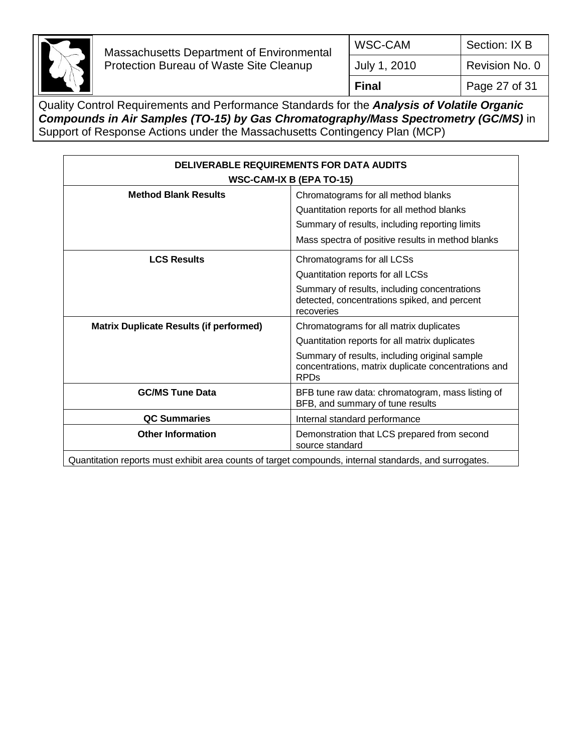

| Final        | Page 27 of 31  |
|--------------|----------------|
| July 1, 2010 | Revision No. 0 |
| WSC-CAM      | Section: IX B  |

| <b>DELIVERABLE REQUIREMENTS FOR DATA AUDITS</b><br><b>WSC-CAM-IX B (EPA TO-15)</b>                     |                                                                                                                                                                                                                  |  |
|--------------------------------------------------------------------------------------------------------|------------------------------------------------------------------------------------------------------------------------------------------------------------------------------------------------------------------|--|
| <b>Method Blank Results</b>                                                                            | Chromatograms for all method blanks<br>Quantitation reports for all method blanks<br>Summary of results, including reporting limits<br>Mass spectra of positive results in method blanks                         |  |
| <b>LCS Results</b>                                                                                     | Chromatograms for all LCSs<br>Quantitation reports for all LCSs<br>Summary of results, including concentrations<br>detected, concentrations spiked, and percent<br>recoveries                                    |  |
| <b>Matrix Duplicate Results (if performed)</b>                                                         | Chromatograms for all matrix duplicates<br>Quantitation reports for all matrix duplicates<br>Summary of results, including original sample<br>concentrations, matrix duplicate concentrations and<br><b>RPDs</b> |  |
| <b>GC/MS Tune Data</b>                                                                                 | BFB tune raw data: chromatogram, mass listing of<br>BFB, and summary of tune results                                                                                                                             |  |
| <b>QC Summaries</b>                                                                                    | Internal standard performance                                                                                                                                                                                    |  |
| <b>Other Information</b>                                                                               | Demonstration that LCS prepared from second<br>source standard                                                                                                                                                   |  |
| Quantitation reports must exhibit area counts of target compounds, internal standards, and surrogates. |                                                                                                                                                                                                                  |  |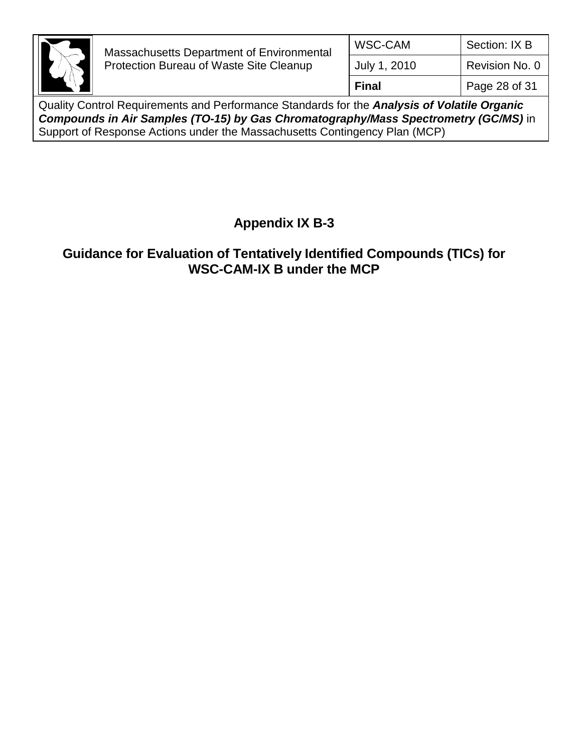

Quality Control Requirements and Performance Standards for the *Analysis of Volatile Organic Compounds in Air Samples (TO-15) by Gas Chromatography/Mass Spectrometry (GC/MS)* in Support of Response Actions under the Massachusetts Contingency Plan (MCP)

# **Appendix IX B-3**

# **Guidance for Evaluation of Tentatively Identified Compounds (TICs) for WSC-CAM-IX B under the MCP**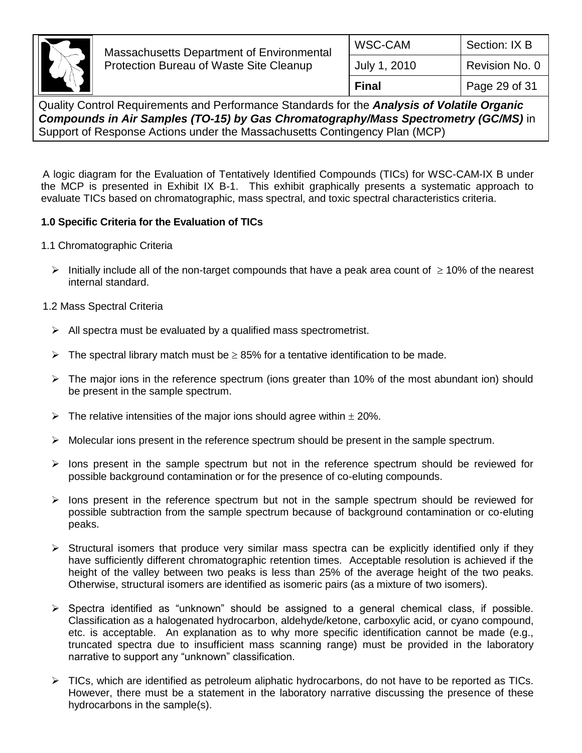

A logic diagram for the Evaluation of Tentatively Identified Compounds (TICs) for WSC-CAM-IX B under the MCP is presented in Exhibit IX B-1. This exhibit graphically presents a systematic approach to evaluate TICs based on chromatographic, mass spectral, and toxic spectral characteristics criteria.

## **1.0 Specific Criteria for the Evaluation of TICs**

- 1.1 Chromatographic Criteria
	- Initially include all of the non-target compounds that have a peak area count of  $\geq 10\%$  of the nearest internal standard.

#### 1.2 Mass Spectral Criteria

- $\triangleright$  All spectra must be evaluated by a qualified mass spectrometrist.
- $\triangleright$  The spectral library match must be  $\geq$  85% for a tentative identification to be made.
- $\triangleright$  The major ions in the reference spectrum (ions greater than 10% of the most abundant ion) should be present in the sample spectrum.
- $\triangleright$  The relative intensities of the major ions should agree within  $\pm$  20%.
- $\triangleright$  Molecular ions present in the reference spectrum should be present in the sample spectrum.
- $\triangleright$  lons present in the sample spectrum but not in the reference spectrum should be reviewed for possible background contamination or for the presence of co-eluting compounds.
- $\triangleright$  lons present in the reference spectrum but not in the sample spectrum should be reviewed for possible subtraction from the sample spectrum because of background contamination or co-eluting peaks.
- $\triangleright$  Structural isomers that produce very similar mass spectra can be explicitly identified only if they have sufficiently different chromatographic retention times. Acceptable resolution is achieved if the height of the valley between two peaks is less than 25% of the average height of the two peaks. Otherwise, structural isomers are identified as isomeric pairs (as a mixture of two isomers).
- $\triangleright$  Spectra identified as "unknown" should be assigned to a general chemical class, if possible. Classification as a halogenated hydrocarbon, aldehyde/ketone, carboxylic acid, or cyano compound, etc. is acceptable. An explanation as to why more specific identification cannot be made (e.g., truncated spectra due to insufficient mass scanning range) must be provided in the laboratory narrative to support any "unknown" classification.
- $\triangleright$  TICs, which are identified as petroleum aliphatic hydrocarbons, do not have to be reported as TICs. However, there must be a statement in the laboratory narrative discussing the presence of these hydrocarbons in the sample(s).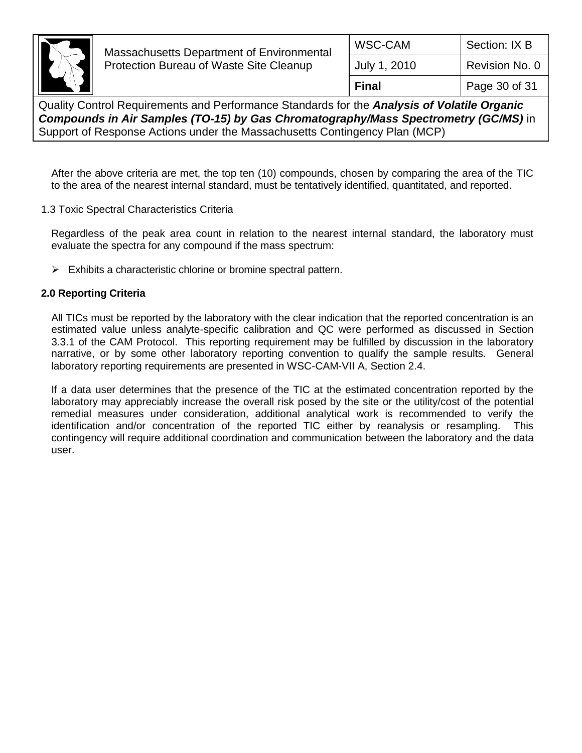

| <b>WSC-CAM</b> | Section: IX B  |
|----------------|----------------|
| July 1, 2010   | Revision No. 0 |
| <b>Final</b>   | Page 30 of 31  |

Quality Control Requirements and Performance Standards for the *Analysis of Volatile Organic Compounds in Air Samples (TO-15) by Gas Chromatography/Mass Spectrometry (GC/MS)* in Support of Response Actions under the Massachusetts Contingency Plan (MCP)

After the above criteria are met, the top ten (10) compounds, chosen by comparing the area of the TIC to the area of the nearest internal standard, must be tentatively identified, quantitated, and reported.

1.3 Toxic Spectral Characteristics Criteria

Regardless of the peak area count in relation to the nearest internal standard, the laboratory must evaluate the spectra for any compound if the mass spectrum:

 $\triangleright$  Exhibits a characteristic chlorine or bromine spectral pattern.

#### **2.0 Reporting Criteria**

All TICs must be reported by the laboratory with the clear indication that the reported concentration is an estimated value unless analyte-specific calibration and QC were performed as discussed in Section 3.3.1 of the CAM Protocol. This reporting requirement may be fulfilled by discussion in the laboratory narrative, or by some other laboratory reporting convention to qualify the sample results. General laboratory reporting requirements are presented in WSC-CAM-VII A, Section 2.4.

If a data user determines that the presence of the TIC at the estimated concentration reported by the laboratory may appreciably increase the overall risk posed by the site or the utility/cost of the potential remedial measures under consideration, additional analytical work is recommended to verify the identification and/or concentration of the reported TIC either by reanalysis or resampling. This contingency will require additional coordination and communication between the laboratory and the data user.